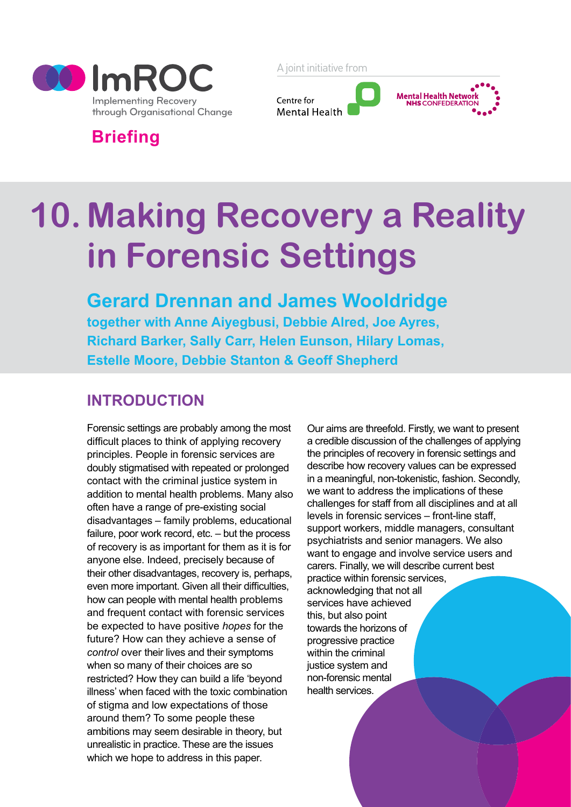

A joint initiative from



**Briefing**

# **10. Making Recovery a Reality in Forensic Settings**

**Gerard Drennan and James Wooldridge together with Anne Aiyegbusi, Debbie Alred, [Joe Ayres,](mailto:Joe.Ayres@wlmht.nhs.uk)  [Richard B](mailto:Joe.Ayres@wlmht.nhs.uk)arker, Sally Carr, Helen Eunson, Hilary Lomas, Estelle Moore, Debbie Stanton & Geoff Shepherd**

# **Introduction**

Forensic settings are probably among the most difficult places to think of applying recovery principles. People in forensic services are doubly stigmatised with repeated or prolonged contact with the criminal justice system in addition to mental health problems. Many also often have a range of pre-existing social disadvantages – family problems, educational failure, poor work record, etc. – but the process of recovery is as important for them as it is for anyone else. Indeed, precisely because of their other disadvantages, recovery is, perhaps, even more important. Given all their difficulties, how can people with mental health problems and frequent contact with forensic services be expected to have positive *hopes* for the future? How can they achieve a sense of *control* over their lives and their symptoms when so many of their choices are so restricted? How they can build a life 'beyond illness' when faced with the toxic combination of stigma and low expectations of those around them? To some people these ambitions may seem desirable in theory, but unrealistic in practice. These are the issues which we hope to address in this paper.

Our aims are threefold. Firstly, we want to present a credible discussion of the challenges of applying the principles of recovery in forensic settings and describe how recovery values can be expressed in a meaningful, non-tokenistic, fashion. Secondly, we want to address the implications of these challenges for staff from all disciplines and at all levels in forensic services – front-line staff, support workers, middle managers, consultant psychiatrists and senior managers. We also want to engage and involve service users and carers. Finally, we will describe current best practice within forensic services, acknowledging that not all services have achieved

this, but also point towards the horizons of progressive practice within the criminal justice system and non-forensic mental health services.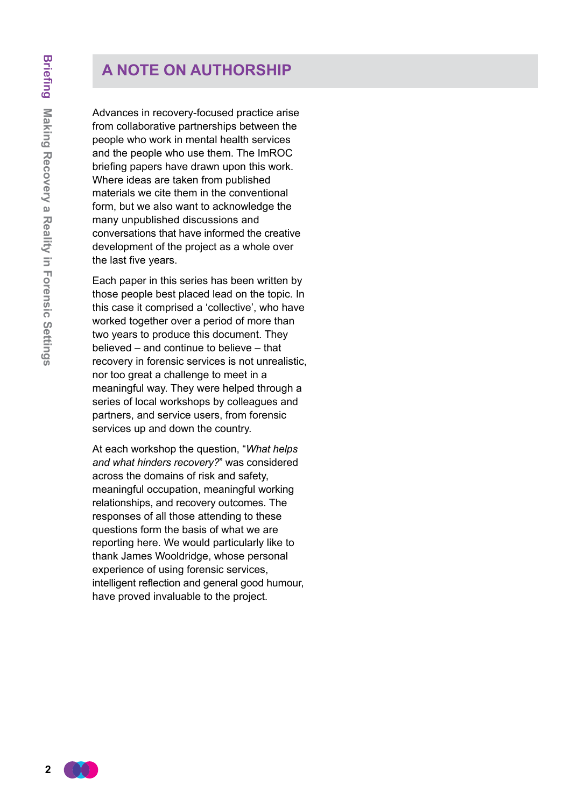# **A note on authorship**

Advances in recovery-focused practice arise from collaborative partnerships between the people who work in mental health services and the people who use them. The ImROC briefing papers have drawn upon this work. Where ideas are taken from published materials we cite them in the conventional form, but we also want to acknowledge the many unpublished discussions and conversations that have informed the creative development of the project as a whole over the last five years.

Each paper in this series has been written by those people best placed lead on the topic. In this case it comprised a 'collective', who have worked together over a period of more than two years to produce this document. They believed – and continue to believe – that recovery in forensic services is not unrealistic, nor too great a challenge to meet in a meaningful way. They were helped through a series of local workshops by colleagues and partners, and service users, from forensic services up and down the country.

At each workshop the question, "*What helps and what hinders recovery?*" was considered across the domains of risk and safety, meaningful occupation, meaningful working relationships, and recovery outcomes. The responses of all those attending to these questions form the basis of what we are reporting here. We would particularly like to thank James Wooldridge, whose personal experience of using forensic services, intelligent reflection and general good humour, have proved invaluable to the project.

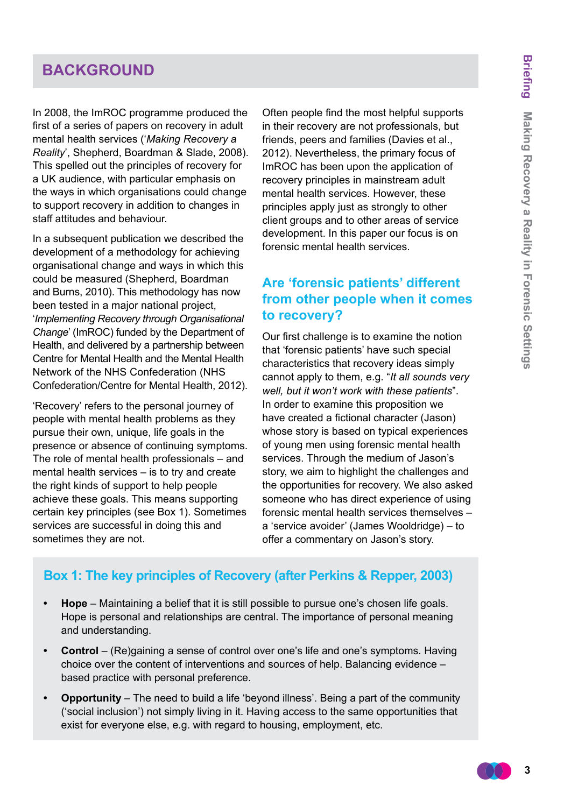# **BACKGROUND**

In 2008, the ImROC programme produced the first of a series of papers on recovery in adult mental health services ('*Making Recovery a Reality*', Shepherd, Boardman & Slade, 2008). This spelled out the principles of recovery for a UK audience, with particular emphasis on the ways in which organisations could change to support recovery in addition to changes in staff attitudes and behaviour.

In a subsequent publication we described the development of a methodology for achieving organisational change and ways in which this could be measured (Shepherd, Boardman and Burns, 2010). This methodology has now been tested in a major national project, '*Implementing Recovery through Organisational Change*' (ImROC) funded by the Department of Health, and delivered by a partnership between Centre for Mental Health and the Mental Health Network of the NHS Confederation (NHS Confederation/Centre for Mental Health, 2012).

'Recovery' refers to the personal journey of people with mental health problems as they pursue their own, unique, life goals in the presence or absence of continuing symptoms. The role of mental health professionals – and mental health services – is to try and create the right kinds of support to help people achieve these goals. This means supporting certain key principles (see Box 1). Sometimes services are successful in doing this and sometimes they are not.

Often people find the most helpful supports in their recovery are not professionals, but friends, peers and families (Davies et al., 2012). Nevertheless, the primary focus of ImROC has been upon the application of recovery principles in mainstream adult mental health services. However, these principles apply just as strongly to other client groups and to other areas of service development. In this paper our focus is on forensic mental health services.

# **Are 'forensic patients' different from other people when it comes to recovery?**

Our first challenge is to examine the notion that 'forensic patients' have such special characteristics that recovery ideas simply cannot apply to them, e.g. "*It all sounds very well, but it won't work with these patients*". In order to examine this proposition we have created a fictional character (Jason) whose story is based on typical experiences of young men using forensic mental health services. Through the medium of Jason's story, we aim to highlight the challenges and the opportunities for recovery. We also asked someone who has direct experience of using forensic mental health services themselves – a 'service avoider' (James Wooldridge) – to offer a commentary on Jason's story.

# **Box 1: The key principles of Recovery (after Perkins & Repper, 2003)**

- **• Hope** Maintaining a belief that it is still possible to pursue one's chosen life goals. Hope is personal and relationships are central. The importance of personal meaning and understanding.
- **Control** (Re)gaining a sense of control over one's life and one's symptoms. Having choice over the content of interventions and sources of help. Balancing evidence – based practice with personal preference.
- **Opportunity** The need to build a life 'beyond illness'. Being a part of the community ('social inclusion') not simply living in it. Having access to the same opportunities that exist for everyone else, e.g. with regard to housing, employment, etc.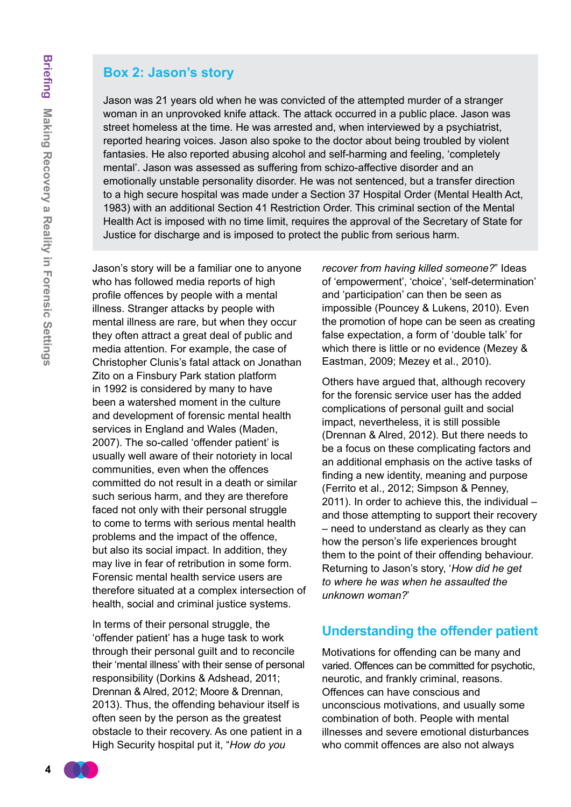## **Box 2: Jason's story**

Jason was 21 years old when he was convicted of the attempted murder of a stranger woman in an unprovoked knife attack. The attack occurred in a public place. Jason was street homeless at the time. He was arrested and, when interviewed by a psychiatrist, reported hearing voices. Jason also spoke to the doctor about being troubled by violent fantasies. He also reported abusing alcohol and self-harming and feeling, 'completely mental'. Jason was assessed as suffering from schizo-affective disorder and an emotionally unstable personality disorder. He was not sentenced, but a transfer direction to a high secure hospital was made under a Section 37 Hospital Order (Mental Health Act, 1983) with an additional Section 41 Restriction Order. This criminal section of the Mental Health Act is imposed with no time limit, requires the approval of the Secretary of State for Justice for discharge and is imposed to protect the public from serious harm.

Jason's story will be a familiar one to anyone who has followed media reports of high profile offences by people with a mental illness. Stranger attacks by people with mental illness are rare, but when they occur they often attract a great deal of public and media attention. For example, the case of Christopher Clunis's fatal attack on Jonathan Zito on a Finsbury Park station platform in 1992 is considered by many to have been a watershed moment in the culture and development of forensic mental health services in England and Wales (Maden, 2007). The so-called 'offender patient' is usually well aware of their notoriety in local communities, even when the offences committed do not result in a death or similar such serious harm, and they are therefore faced not only with their personal struggle to come to terms with serious mental health problems and the impact of the offence, but also its social impact. In addition, they may live in fear of retribution in some form. Forensic mental health service users are therefore situated at a complex intersection of health, social and criminal justice systems.

In terms of their personal struggle, the 'offender patient' has a huge task to work through their personal guilt and to reconcile their 'mental illness' with their sense of personal responsibility (Dorkins & Adshead, 2011; Drennan & Alred, 2012; Moore & Drennan, 2013). Thus, the offending behaviour itself is often seen by the person as the greatest obstacle to their recovery. As one patient in a High Security hospital put it, "*How do you* 

*recover from having killed someone?*" Ideas of 'empowerment', 'choice', 'self-determination' and 'participation' can then be seen as impossible (Pouncey & Lukens, 2010). Even the promotion of hope can be seen as creating false expectation, a form of 'double talk' for which there is little or no evidence (Mezey & Eastman, 2009; Mezey et al., 2010).

Others have argued that, although recovery for the forensic service user has the added complications of personal guilt and social impact, nevertheless, it is still possible (Drennan & Alred, 2012). But there needs to be a focus on these complicating factors and an additional emphasis on the active tasks of finding a new identity, meaning and purpose (Ferrito et al., 2012; Simpson & Penney, 2011). In order to achieve this, the individual – and those attempting to support their recovery – need to understand as clearly as they can how the person's life experiences brought them to the point of their offending behaviour. Returning to Jason's story, '*How did he get to where he was when he assaulted the unknown woman?*'

## **Understanding the offender patient**

Motivations for offending can be many and varied. Offences can be committed for psychotic, neurotic, and frankly criminal, reasons. Offences can have conscious and unconscious motivations, and usually some combination of both. People with mental illnesses and severe emotional disturbances who commit offences are also not always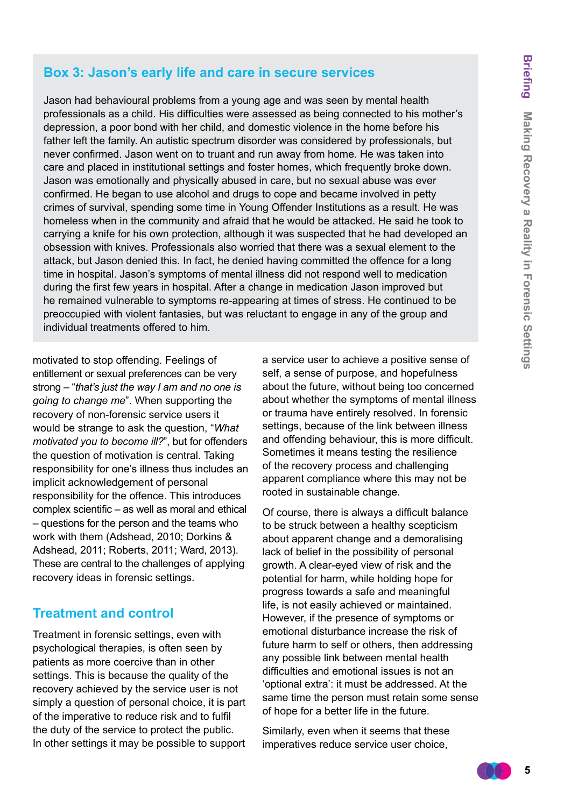#### **Box 3: Jason's early life and care in secure services**

Jason had behavioural problems from a young age and was seen by mental health professionals as a child. His difficulties were assessed as being connected to his mother's depression, a poor bond with her child, and domestic violence in the home before his father left the family. An autistic spectrum disorder was considered by professionals, but never confirmed. Jason went on to truant and run away from home. He was taken into care and placed in institutional settings and foster homes, which frequently broke down. Jason was emotionally and physically abused in care, but no sexual abuse was ever confirmed. He began to use alcohol and drugs to cope and became involved in petty crimes of survival, spending some time in Young Offender Institutions as a result. He was homeless when in the community and afraid that he would be attacked. He said he took to carrying a knife for his own protection, although it was suspected that he had developed an obsession with knives. Professionals also worried that there was a sexual element to the attack, but Jason denied this. In fact, he denied having committed the offence for a long time in hospital. Jason's symptoms of mental illness did not respond well to medication during the first few years in hospital. After a change in medication Jason improved but he remained vulnerable to symptoms re-appearing at times of stress. He continued to be preoccupied with violent fantasies, but was reluctant to engage in any of the group and individual treatments offered to him.

motivated to stop offending. Feelings of entitlement or sexual preferences can be very strong – "*that's just the way I am and no one is going to change me*". When supporting the recovery of non-forensic service users it would be strange to ask the question, "*What motivated you to become ill?*", but for offenders the question of motivation is central. Taking responsibility for one's illness thus includes an implicit acknowledgement of personal responsibility for the offence. This introduces complex scientific – as well as moral and ethical – questions for the person and the teams who work with them (Adshead, 2010; Dorkins & Adshead, 2011; Roberts, 2011; Ward, 2013). These are central to the challenges of applying recovery ideas in forensic settings.

## **Treatment and control**

Treatment in forensic settings, even with psychological therapies, is often seen by patients as more coercive than in other settings. This is because the quality of the recovery achieved by the service user is not simply a question of personal choice, it is part of the imperative to reduce risk and to fulfil the duty of the service to protect the public. In other settings it may be possible to support a service user to achieve a positive sense of self, a sense of purpose, and hopefulness about the future, without being too concerned about whether the symptoms of mental illness or trauma have entirely resolved. In forensic settings, because of the link between illness and offending behaviour, this is more difficult. Sometimes it means testing the resilience of the recovery process and challenging apparent compliance where this may not be rooted in sustainable change.

Of course, there is always a difficult balance to be struck between a healthy scepticism about apparent change and a demoralising lack of belief in the possibility of personal growth. A clear-eyed view of risk and the potential for harm, while holding hope for progress towards a safe and meaningful life, is not easily achieved or maintained. However, if the presence of symptoms or emotional disturbance increase the risk of future harm to self or others, then addressing any possible link between mental health difficulties and emotional issues is not an 'optional extra': it must be addressed. At the same time the person must retain some sense of hope for a better life in the future.

Similarly, even when it seems that these imperatives reduce service user choice,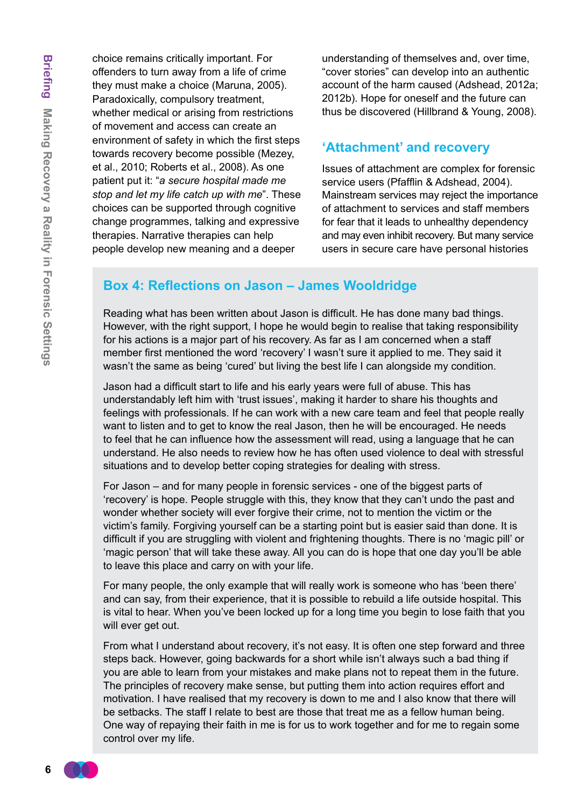choice remains critically important. For offenders to turn away from a life of crime they must make a choice (Maruna, 2005). Paradoxically, compulsory treatment, whether medical or arising from restrictions of movement and access can create an environment of safety in which the first steps towards recovery become possible (Mezey, et al., 2010; Roberts et al., 2008). As one patient put it: "*a secure hospital made me stop and let my life catch up with me*". These choices can be supported through cognitive change programmes, talking and expressive therapies. Narrative therapies can help people develop new meaning and a deeper

understanding of themselves and, over time, "cover stories" can develop into an authentic account of the harm caused (Adshead, 2012a; 2012b). Hope for oneself and the future can thus be discovered (Hillbrand & Young, 2008).

## **'Attachment' and recovery**

Issues of attachment are complex for forensic service users (Pfafflin & Adshead, 2004). Mainstream services may reject the importance of attachment to services and staff members for fear that it leads to unhealthy dependency and may even inhibit recovery. But many service users in secure care have personal histories

# **Box 4: Reflections on Jason – James Wooldridge**

Reading what has been written about Jason is difficult. He has done many bad things. However, with the right support, I hope he would begin to realise that taking responsibility for his actions is a major part of his recovery. As far as I am concerned when a staff member first mentioned the word 'recovery' I wasn't sure it applied to me. They said it wasn't the same as being 'cured' but living the best life I can alongside my condition.

Jason had a difficult start to life and his early years were full of abuse. This has understandably left him with 'trust issues', making it harder to share his thoughts and feelings with professionals. If he can work with a new care team and feel that people really want to listen and to get to know the real Jason, then he will be encouraged. He needs to feel that he can influence how the assessment will read, using a language that he can understand. He also needs to review how he has often used violence to deal with stressful situations and to develop better coping strategies for dealing with stress.

For Jason – and for many people in forensic services - one of the biggest parts of 'recovery' is hope. People struggle with this, they know that they can't undo the past and wonder whether society will ever forgive their crime, not to mention the victim or the victim's family. Forgiving yourself can be a starting point but is easier said than done. It is difficult if you are struggling with violent and frightening thoughts. There is no 'magic pill' or 'magic person' that will take these away. All you can do is hope that one day you'll be able to leave this place and carry on with your life.

For many people, the only example that will really work is someone who has 'been there' and can say, from their experience, that it is possible to rebuild a life outside hospital. This is vital to hear. When you've been locked up for a long time you begin to lose faith that you will ever get out.

From what I understand about recovery, it's not easy. It is often one step forward and three steps back. However, going backwards for a short while isn't always such a bad thing if you are able to learn from your mistakes and make plans not to repeat them in the future. The principles of recovery make sense, but putting them into action requires effort and motivation. I have realised that my recovery is down to me and I also know that there will be setbacks. The staff I relate to best are those that treat me as a fellow human being. One way of repaying their faith in me is for us to work together and for me to regain some control over my life.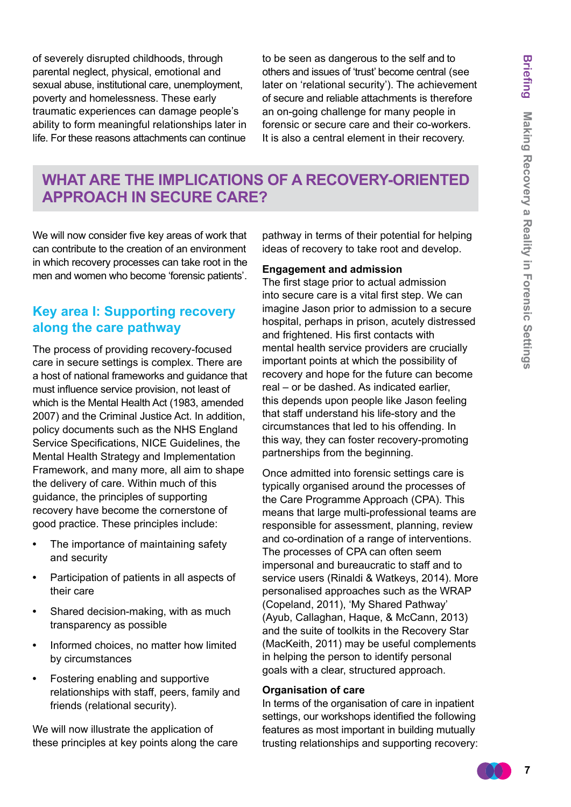of severely disrupted childhoods, through parental neglect, physical, emotional and sexual abuse, institutional care, unemployment, poverty and homelessness. These early traumatic experiences can damage people's ability to form meaningful relationships later in life. For these reasons attachments can continue

to be seen as dangerous to the self and to others and issues of 'trust' become central (see later on 'relational security'). The achievement of secure and reliable attachments is therefore an on-going challenge for many people in forensic or secure care and their co-workers. It is also a central element in their recovery.

# **What are the implications of a recovery-oriented approach in secure care?**

We will now consider five key areas of work that can contribute to the creation of an environment in which recovery processes can take root in the men and women who become 'forensic patients'.

## **Key area I: Supporting recovery along the care pathway**

The process of providing recovery-focused care in secure settings is complex. There are a host of national frameworks and guidance that must influence service provision, not least of which is the Mental Health Act (1983, amended 2007) and the Criminal Justice Act. In addition, policy documents such as the NHS England Service Specifications, NICE Guidelines, the Mental Health Strategy and Implementation Framework, and many more, all aim to shape the delivery of care. Within much of this guidance, the principles of supporting recovery have become the cornerstone of good practice. These principles include:

- **•**  The importance of maintaining safety and security
- **•**  Participation of patients in all aspects of their care
- **Shared decision-making, with as much** transparency as possible
- Informed choices, no matter how limited by circumstances
- **•**  Fostering enabling and supportive relationships with staff, peers, family and friends (relational security).

We will now illustrate the application of these principles at key points along the care

pathway in terms of their potential for helping ideas of recovery to take root and develop.

#### **Engagement and admission**

The first stage prior to actual admission into secure care is a vital first step. We can imagine Jason prior to admission to a secure hospital, perhaps in prison, acutely distressed and frightened. His first contacts with mental health service providers are crucially important points at which the possibility of recovery and hope for the future can become real – or be dashed. As indicated earlier, this depends upon people like Jason feeling that staff understand his life-story and the circumstances that led to his offending. In this way, they can foster recovery-promoting partnerships from the beginning.

Once admitted into forensic settings care is typically organised around the processes of the Care Programme Approach (CPA). This means that large multi-professional teams are responsible for assessment, planning, review and co-ordination of a range of interventions. The processes of CPA can often seem impersonal and bureaucratic to staff and to service users (Rinaldi & Watkeys, 2014). More personalised approaches such as the WRAP (Copeland, 2011), 'My Shared Pathway' (Ayub, Callaghan, Haque, & McCann, 2013) and the suite of toolkits in the Recovery Star (MacKeith, 2011) may be useful complements in helping the person to identify personal goals with a clear, structured approach.

#### **Organisation of care**

In terms of the organisation of care in inpatient settings, our workshops identified the following features as most important in building mutually trusting relationships and supporting recovery: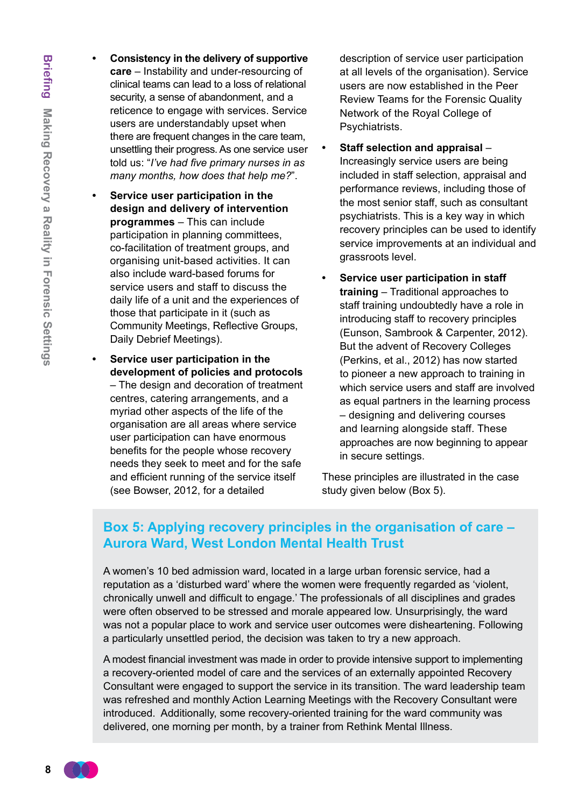**8**

- **Consistency in the delivery of supportive care** – Instability and under-resourcing of clinical teams can lead to a loss of relational security, a sense of abandonment, and a reticence to engage with services. Service users are understandably upset when there are frequent changes in the care team, unsettling their progress. As one service user told us: "*I've had five primary nurses in as many months, how does that help me?*".
- **Service user participation in the design and delivery of intervention programmes** – This can include participation in planning committees, co-facilitation of treatment groups, and organising unit-based activities. It can also include ward-based forums for service users and staff to discuss the daily life of a unit and the experiences of those that participate in it (such as Community Meetings, Reflective Groups, Daily Debrief Meetings).
	- **Service user participation in the development of policies and protocols** – The design and decoration of treatment centres, catering arrangements, and a myriad other aspects of the life of the organisation are all areas where service user participation can have enormous benefits for the people whose recovery needs they seek to meet and for the safe and efficient running of the service itself (see Bowser, 2012, for a detailed

description of service user participation at all levels of the organisation). Service users are now established in the Peer Review Teams for the Forensic Quality Network of the Royal College of Psychiatrists.

- **Staff selection and appraisal** Increasingly service users are being included in staff selection, appraisal and performance reviews, including those of the most senior staff, such as consultant psychiatrists. This is a key way in which recovery principles can be used to identify service improvements at an individual and grassroots level.
- **Service user participation in staff training** – Traditional approaches to staff training undoubtedly have a role in introducing staff to recovery principles (Eunson, Sambrook & Carpenter, 2012). But the advent of Recovery Colleges (Perkins, et al., 2012) has now started to pioneer a new approach to training in which service users and staff are involved as equal partners in the learning process – designing and delivering courses and learning alongside staff. These approaches are now beginning to appear in secure settings.

These principles are illustrated in the case study given below (Box 5).

## **Box 5: Applying recovery principles in the organisation of care – Aurora Ward, West London Mental Health Trust**

A women's 10 bed admission ward, located in a large urban forensic service, had a reputation as a 'disturbed ward' where the women were frequently regarded as 'violent, chronically unwell and difficult to engage.' The professionals of all disciplines and grades were often observed to be stressed and morale appeared low. Unsurprisingly, the ward was not a popular place to work and service user outcomes were disheartening. Following a particularly unsettled period, the decision was taken to try a new approach.

A modest financial investment was made in order to provide intensive support to implementing a recovery-oriented model of care and the services of an externally appointed Recovery Consultant were engaged to support the service in its transition. The ward leadership team was refreshed and monthly Action Learning Meetings with the Recovery Consultant were introduced. Additionally, some recovery-oriented training for the ward community was delivered, one morning per month, by a trainer from Rethink Mental Illness.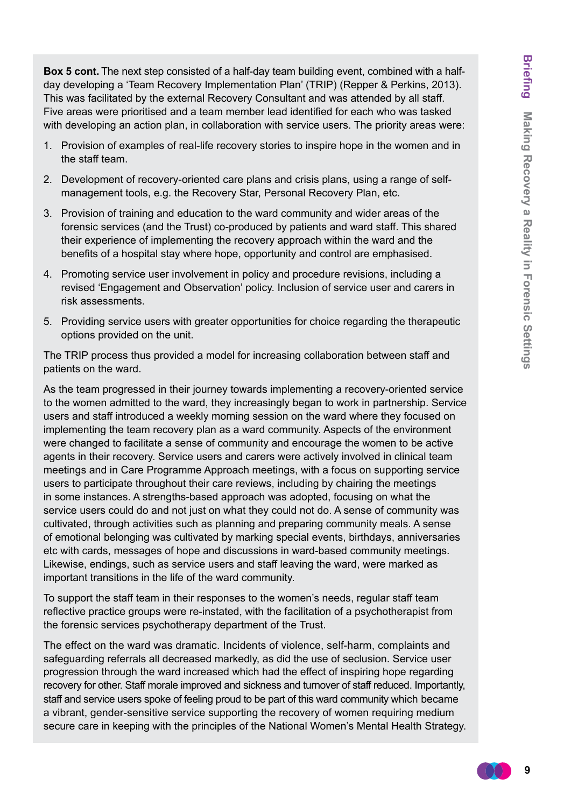**Box 5 cont.** The next step consisted of a half-day team building event, combined with a halfday developing a 'Team Recovery Implementation Plan' (TRIP) (Repper & Perkins, 2013). This was facilitated by the external Recovery Consultant and was attended by all staff. Five areas were prioritised and a team member lead identified for each who was tasked with developing an action plan, in collaboration with service users. The priority areas were:

- 1. Provision of examples of real-life recovery stories to inspire hope in the women and in the staff team.
- 2. Development of recovery-oriented care plans and crisis plans, using a range of selfmanagement tools, e.g. the Recovery Star, Personal Recovery Plan, etc.
- 3. Provision of training and education to the ward community and wider areas of the forensic services (and the Trust) co-produced by patients and ward staff. This shared their experience of implementing the recovery approach within the ward and the benefits of a hospital stay where hope, opportunity and control are emphasised.
- 4. Promoting service user involvement in policy and procedure revisions, including a revised 'Engagement and Observation' policy. Inclusion of service user and carers in risk assessments.
- 5. Providing service users with greater opportunities for choice regarding the therapeutic options provided on the unit.

The TRIP process thus provided a model for increasing collaboration between staff and patients on the ward.

As the team progressed in their journey towards implementing a recovery-oriented service to the women admitted to the ward, they increasingly began to work in partnership. Service users and staff introduced a weekly morning session on the ward where they focused on implementing the team recovery plan as a ward community. Aspects of the environment were changed to facilitate a sense of community and encourage the women to be active agents in their recovery. Service users and carers were actively involved in clinical team meetings and in Care Programme Approach meetings, with a focus on supporting service users to participate throughout their care reviews, including by chairing the meetings in some instances. A strengths-based approach was adopted, focusing on what the service users could do and not just on what they could not do. A sense of community was cultivated, through activities such as planning and preparing community meals. A sense of emotional belonging was cultivated by marking special events, birthdays, anniversaries etc with cards, messages of hope and discussions in ward-based community meetings. Likewise, endings, such as service users and staff leaving the ward, were marked as important transitions in the life of the ward community.

To support the staff team in their responses to the women's needs, regular staff team reflective practice groups were re-instated, with the facilitation of a psychotherapist from the forensic services psychotherapy department of the Trust.

The effect on the ward was dramatic. Incidents of violence, self-harm, complaints and safeguarding referrals all decreased markedly, as did the use of seclusion. Service user progression through the ward increased which had the effect of inspiring hope regarding recovery for other. Staff morale improved and sickness and turnover of staff reduced. Importantly, staff and service users spoke of feeling proud to be part of this ward community which became a vibrant, gender-sensitive service supporting the recovery of women requiring medium secure care in keeping with the principles of the National Women's Mental Health Strategy.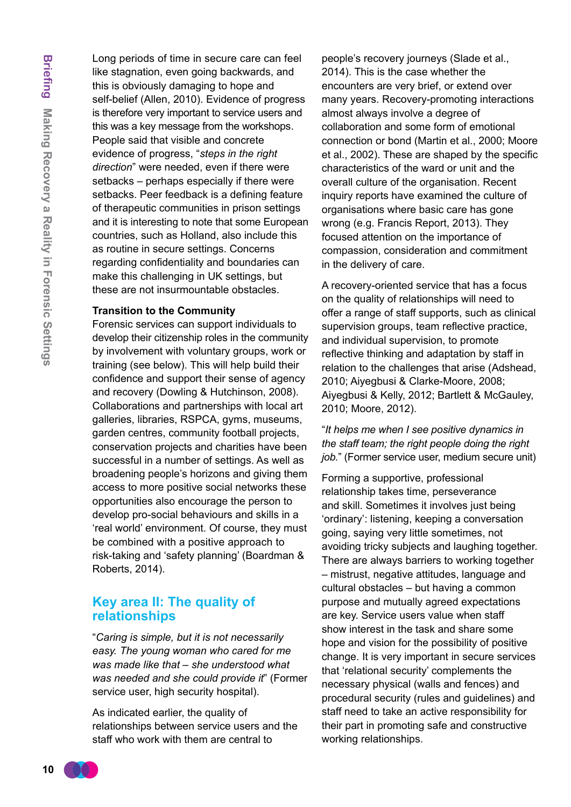Long periods of time in secure care can feel like stagnation, even going backwards, and this is obviously damaging to hope and self-belief (Allen, 2010). Evidence of progress is therefore very important to service users and this was a key message from the workshops. People said that visible and concrete evidence of progress, "*steps in the right direction*" were needed, even if there were setbacks – perhaps especially if there were setbacks. Peer feedback is a defining feature of therapeutic communities in prison settings and it is interesting to note that some European countries, such as Holland, also include this as routine in secure settings. Concerns regarding confidentiality and boundaries can make this challenging in UK settings, but these are not insurmountable obstacles.

#### **Transition to the Community**

Forensic services can support individuals to develop their citizenship roles in the community by involvement with voluntary groups, work or training (see below). This will help build their confidence and support their sense of agency and recovery (Dowling & Hutchinson, 2008). Collaborations and partnerships with local art galleries, libraries, RSPCA, gyms, museums, garden centres, community football projects, conservation projects and charities have been successful in a number of settings. As well as broadening people's horizons and giving them access to more positive social networks these opportunities also encourage the person to develop pro-social behaviours and skills in a 'real world' environment. Of course, they must be combined with a positive approach to risk-taking and 'safety planning' (Boardman & Roberts, 2014).

#### **Key area II: The quality of relationships**

"*Caring is simple, but it is not necessarily easy. The young woman who cared for me was made like that – she understood what was needed and she could provide it*" (Former service user, high security hospital).

As indicated earlier, the quality of relationships between service users and the staff who work with them are central to

people's recovery journeys (Slade et al., 2014). This is the case whether the encounters are very brief, or extend over many years. Recovery-promoting interactions almost always involve a degree of collaboration and some form of emotional connection or bond (Martin et al., 2000; Moore et al., 2002). These are shaped by the specific characteristics of the ward or unit and the overall culture of the organisation. Recent inquiry reports have examined the culture of organisations where basic care has gone wrong (e.g. Francis Report, 2013). They focused attention on the importance of compassion, consideration and commitment in the delivery of care.

A recovery-oriented service that has a focus on the quality of relationships will need to offer a range of staff supports, such as clinical supervision groups, team reflective practice, and individual supervision, to promote reflective thinking and adaptation by staff in relation to the challenges that arise (Adshead, 2010; Aiyegbusi & Clarke-Moore, 2008; Aiyegbusi & Kelly, 2012; Bartlett & McGauley, 2010; Moore, 2012).

"*It helps me when I see positive dynamics in the staff team; the right people doing the right job.*" (Former service user, medium secure unit)

Forming a supportive, professional relationship takes time, perseverance and skill. Sometimes it involves just being 'ordinary': listening, keeping a conversation going, saying very little sometimes, not avoiding tricky subjects and laughing together. There are always barriers to working together – mistrust, negative attitudes, language and cultural obstacles – but having a common purpose and mutually agreed expectations are key. Service users value when staff show interest in the task and share some hope and vision for the possibility of positive change. It is very important in secure services that 'relational security' complements the necessary physical (walls and fences) and procedural security (rules and guidelines) and staff need to take an active responsibility for their part in promoting safe and constructive working relationships.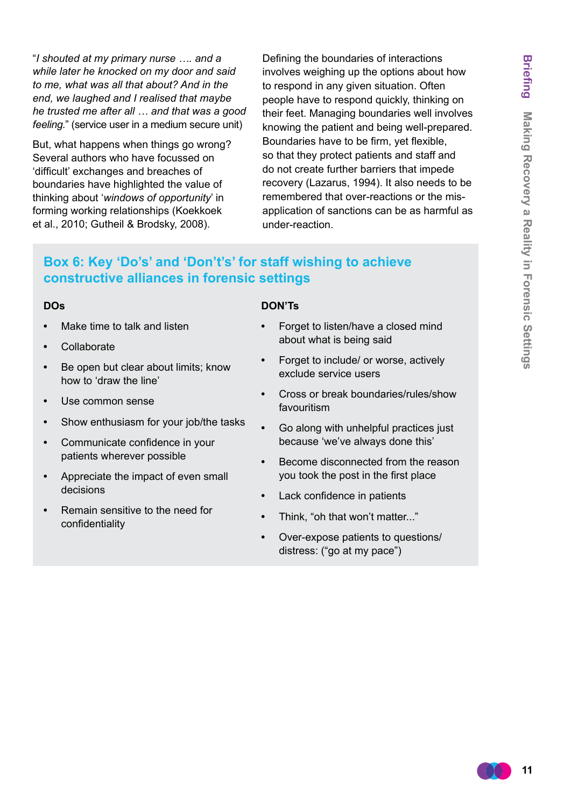"*I shouted at my primary nurse …. and a while later he knocked on my door and said to me, what was all that about? And in the end, we laughed and I realised that maybe he trusted me after all … and that was a good feeling.*" (service user in a medium secure unit)

But, what happens when things go wrong? Several authors who have focussed on 'difficult' exchanges and breaches of boundaries have highlighted the value of thinking about '*windows of opportunity*' in forming working relationships (Koekkoek et al., 2010; Gutheil & Brodsky, 2008).

Defining the boundaries of interactions involves weighing up the options about how to respond in any given situation. Often people have to respond quickly, thinking on their feet. Managing boundaries well involves knowing the patient and being well-prepared. Boundaries have to be firm, yet flexible, so that they protect patients and staff and do not create further barriers that impede recovery (Lazarus, 1994). It also needs to be remembered that over-reactions or the misapplication of sanctions can be as harmful as under-reaction.

# **Box 6: Key 'Do's' and 'Don't's' for staff wishing to achieve constructive alliances in forensic settings**

#### **DOs**

- **Make time to talk and listen**
- **•**  Collaborate
- **•**  Be open but clear about limits; know how to 'draw the line'
- **•**  Use common sense
- **•**  Show enthusiasm for your job/the tasks
- **•**  Communicate confidence in your patients wherever possible
- Appreciate the impact of even small decisions
- **Remain sensitive to the need for** confidentiality

#### **DON'Ts**

- Forget to listen/have a closed mind about what is being said
- Forget to include/ or worse, actively exclude service users
- **•**  Cross or break boundaries/rules/show favouritism
- Go along with unhelpful practices just because 'we've always done this'
- **Become disconnected from the reason** you took the post in the first place
- **Lack confidence in patients**
- **•**  Think, "oh that won't matter..."
- **•**  Over-expose patients to questions/ distress: ("go at my pace")

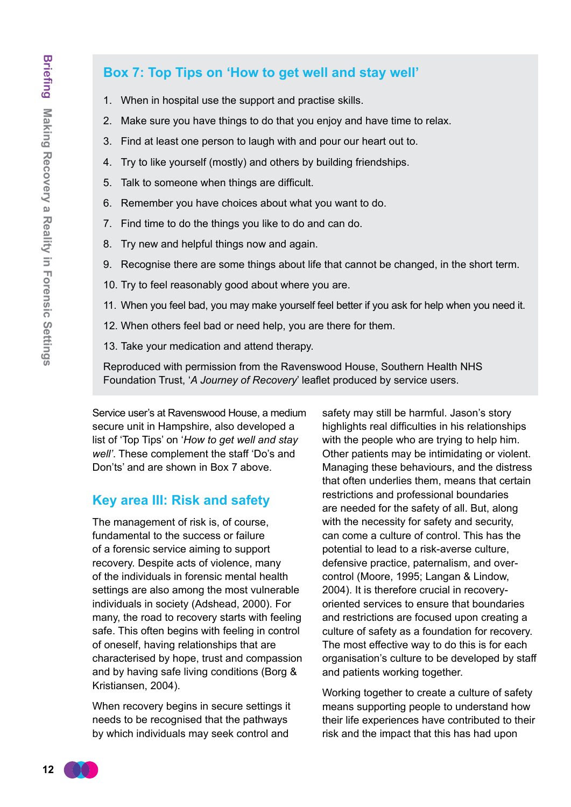## **Box 7: Top Tips on 'How to get well and stay well'**

- 1. When in hospital use the support and practise skills.
- 2. Make sure you have things to do that you enjoy and have time to relax.
- 3. Find at least one person to laugh with and pour our heart out to.
- 4. Try to like yourself (mostly) and others by building friendships.
- 5. Talk to someone when things are difficult.
- 6. Remember you have choices about what you want to do.
- 7. Find time to do the things you like to do and can do.
- 8. Try new and helpful things now and again.
- 9. Recognise there are some things about life that cannot be changed, in the short term.
- 10. Try to feel reasonably good about where you are.
- 11. When you feel bad, you may make yourself feel better if you ask for help when you need it.
- 12. When others feel bad or need help, you are there for them.
- 13. Take your medication and attend therapy.

Reproduced with permission from the Ravenswood House, Southern Health NHS Foundation Trust, '*A Journey of Recovery*' leaflet produced by service users.

Service user's at Ravenswood House, a medium secure unit in Hampshire, also developed a list of 'Top Tips' on '*How to get well and stay well'*. These complement the staff 'Do's and Don'ts' and are shown in Box 7 above.

## **Key area III: Risk and safety**

The management of risk is, of course, fundamental to the success or failure of a forensic service aiming to support recovery. Despite acts of violence, many of the individuals in forensic mental health settings are also among the most vulnerable individuals in society (Adshead, 2000). For many, the road to recovery starts with feeling safe. This often begins with feeling in control of oneself, having relationships that are characterised by hope, trust and compassion and by having safe living conditions (Borg & Kristiansen, 2004).

When recovery begins in secure settings it needs to be recognised that the pathways by which individuals may seek control and

safety may still be harmful. Jason's story highlights real difficulties in his relationships with the people who are trying to help him. Other patients may be intimidating or violent. Managing these behaviours, and the distress that often underlies them, means that certain restrictions and professional boundaries are needed for the safety of all. But, along with the necessity for safety and security. can come a culture of control. This has the potential to lead to a risk-averse culture, defensive practice, paternalism, and overcontrol (Moore, 1995; Langan & Lindow, 2004). It is therefore crucial in recoveryoriented services to ensure that boundaries and restrictions are focused upon creating a culture of safety as a foundation for recovery. The most effective way to do this is for each organisation's culture to be developed by staff and patients working together.

Working together to create a culture of safety means supporting people to understand how their life experiences have contributed to their risk and the impact that this has had upon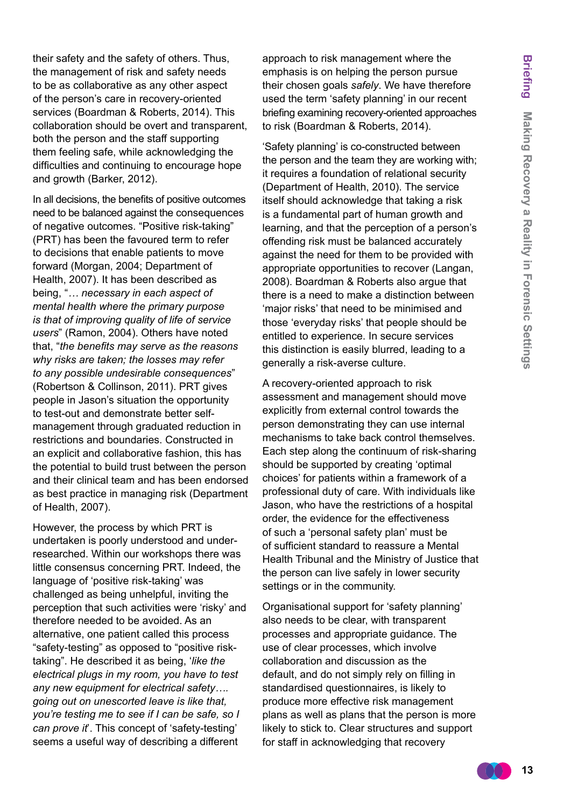their safety and the safety of others. Thus, the management of risk and safety needs to be as collaborative as any other aspect of the person's care in recovery-oriented services (Boardman & Roberts, 2014). This collaboration should be overt and transparent, both the person and the staff supporting them feeling safe, while acknowledging the difficulties and continuing to encourage hope and growth (Barker, 2012).

In all decisions, the benefits of positive outcomes need to be balanced against the consequences of negative outcomes. "Positive risk-taking" (PRT) has been the favoured term to refer to decisions that enable patients to move forward (Morgan, 2004; Department of Health, 2007). It has been described as being, "*… necessary in each aspect of mental health where the primary purpose is that of improving quality of life of service users*" (Ramon, 2004). Others have noted that, "*the benefits may serve as the reasons why risks are taken; the losses may refer to any possible undesirable consequences*" (Robertson & Collinson, 2011). PRT gives people in Jason's situation the opportunity to test-out and demonstrate better selfmanagement through graduated reduction in restrictions and boundaries. Constructed in an explicit and collaborative fashion, this has the potential to build trust between the person and their clinical team and has been endorsed as best practice in managing risk (Department of Health, 2007).

However, the process by which PRT is undertaken is poorly understood and underresearched. Within our workshops there was little consensus concerning PRT. Indeed, the language of 'positive risk-taking' was challenged as being unhelpful, inviting the perception that such activities were 'risky' and therefore needed to be avoided. As an alternative, one patient called this process "safety-testing" as opposed to "positive risktaking". He described it as being, '*like the electrical plugs in my room, you have to test any new equipment for electrical safety…. going out on unescorted leave is like that, you're testing me to see if I can be safe, so I can prove it*'. This concept of 'safety-testing' seems a useful way of describing a different

approach to risk management where the emphasis is on helping the person pursue their chosen goals *safely*. We have therefore used the term 'safety planning' in our recent briefing examining recovery-oriented approaches to risk (Boardman & Roberts, 2014).

'Safety planning' is co-constructed between the person and the team they are working with; it requires a foundation of relational security (Department of Health, 2010). The service itself should acknowledge that taking a risk is a fundamental part of human growth and learning, and that the perception of a person's offending risk must be balanced accurately against the need for them to be provided with appropriate opportunities to recover (Langan, 2008). Boardman & Roberts also argue that there is a need to make a distinction between 'major risks' that need to be minimised and those 'everyday risks' that people should be entitled to experience. In secure services this distinction is easily blurred, leading to a generally a risk-averse culture.

A recovery-oriented approach to risk assessment and management should move explicitly from external control towards the person demonstrating they can use internal mechanisms to take back control themselves. Each step along the continuum of risk-sharing should be supported by creating 'optimal choices' for patients within a framework of a professional duty of care. With individuals like Jason, who have the restrictions of a hospital order, the evidence for the effectiveness of such a 'personal safety plan' must be of sufficient standard to reassure a Mental Health Tribunal and the Ministry of Justice that the person can live safely in lower security settings or in the community.

Organisational support for 'safety planning' also needs to be clear, with transparent processes and appropriate guidance. The use of clear processes, which involve collaboration and discussion as the default, and do not simply rely on filling in standardised questionnaires, is likely to produce more effective risk management plans as well as plans that the person is more likely to stick to. Clear structures and support for staff in acknowledging that recovery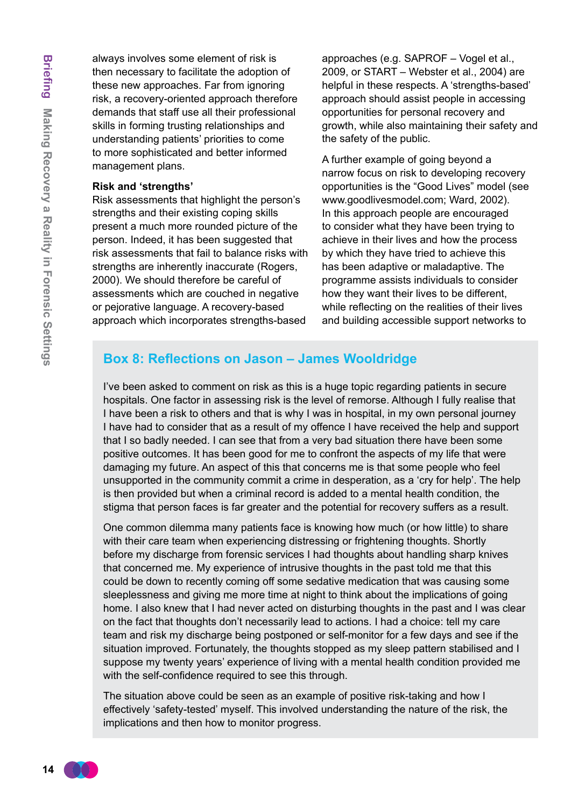always involves some element of risk is then necessary to facilitate the adoption of these new approaches. Far from ignoring risk, a recovery-oriented approach therefore demands that staff use all their professional skills in forming trusting relationships and understanding patients' priorities to come to more sophisticated and better informed management plans.

#### **Risk and 'strengths'**

Risk assessments that highlight the person's strengths and their existing coping skills present a much more rounded picture of the person. Indeed, it has been suggested that risk assessments that fail to balance risks with strengths are inherently inaccurate (Rogers, 2000). We should therefore be careful of assessments which are couched in negative or pejorative language. A recovery-based approach which incorporates strengths-based

approaches (e.g. SAPROF – Vogel et al., 2009, or START – Webster et al., 2004) are helpful in these respects. A 'strengths-based' approach should assist people in accessing opportunities for personal recovery and growth, while also maintaining their safety and the safety of the public.

A further example of going beyond a narrow focus on risk to developing recovery opportunities is the "Good Lives" model (see [www.goodlivesmodel.com](http://www.goodlivesmodel.com); Ward, 2002). In this approach people are encouraged to consider what they have been trying to achieve in their lives and how the process by which they have tried to achieve this has been adaptive or maladaptive. The programme assists individuals to consider how they want their lives to be different, while reflecting on the realities of their lives and building accessible support networks to

## **Box 8: Reflections on Jason – James Wooldridge**

I've been asked to comment on risk as this is a huge topic regarding patients in secure hospitals. One factor in assessing risk is the level of remorse. Although I fully realise that I have been a risk to others and that is why I was in hospital, in my own personal journey I have had to consider that as a result of my offence I have received the help and support that I so badly needed. I can see that from a very bad situation there have been some positive outcomes. It has been good for me to confront the aspects of my life that were damaging my future. An aspect of this that concerns me is that some people who feel unsupported in the community commit a crime in desperation, as a 'cry for help'. The help is then provided but when a criminal record is added to a mental health condition, the stigma that person faces is far greater and the potential for recovery suffers as a result.

One common dilemma many patients face is knowing how much (or how little) to share with their care team when experiencing distressing or frightening thoughts. Shortly before my discharge from forensic services I had thoughts about handling sharp knives that concerned me. My experience of intrusive thoughts in the past told me that this could be down to recently coming off some sedative medication that was causing some sleeplessness and giving me more time at night to think about the implications of going home. I also knew that I had never acted on disturbing thoughts in the past and I was clear on the fact that thoughts don't necessarily lead to actions. I had a choice: tell my care team and risk my discharge being postponed or self-monitor for a few days and see if the situation improved. Fortunately, the thoughts stopped as my sleep pattern stabilised and I suppose my twenty years' experience of living with a mental health condition provided me with the self-confidence required to see this through.

The situation above could be seen as an example of positive risk-taking and how I effectively 'safety-tested' myself. This involved understanding the nature of the risk, the implications and then how to monitor progress.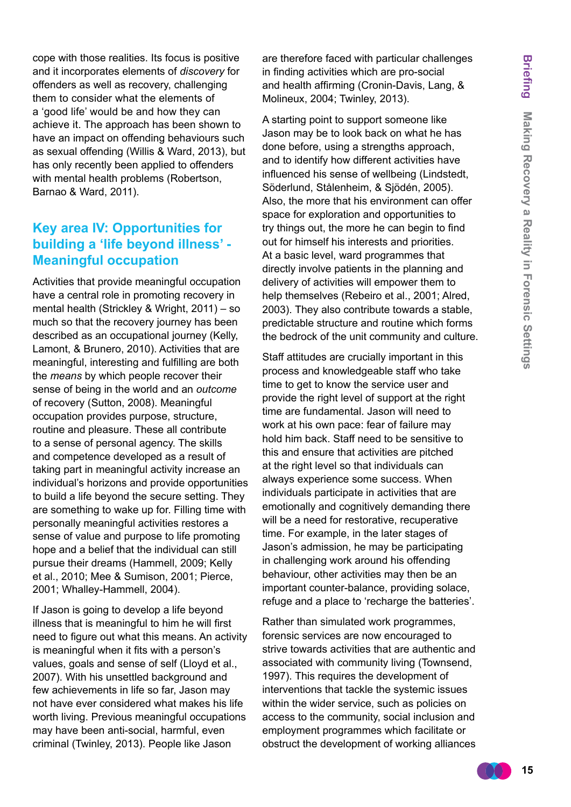cope with those realities. Its focus is positive and it incorporates elements of *discovery* for offenders as well as recovery, challenging them to consider what the elements of a 'good life' would be and how they can achieve it. The approach has been shown to have an impact on offending behaviours such as sexual offending (Willis & Ward, 2013), but has only recently been applied to offenders with mental health problems (Robertson, Barnao & Ward, 2011).

## **Key area IV: Opportunities for building a 'life beyond illness' - Meaningful occupation**

Activities that provide meaningful occupation have a central role in promoting recovery in mental health (Strickley & Wright, 2011) – so much so that the recovery journey has been described as an occupational journey (Kelly, Lamont, & Brunero, 2010). Activities that are meaningful, interesting and fulfilling are both the *means* by which people recover their sense of being in the world and an *outcome* of recovery (Sutton, 2008). Meaningful occupation provides purpose, structure, routine and pleasure. These all contribute to a sense of personal agency. The skills and competence developed as a result of taking part in meaningful activity increase an individual's horizons and provide opportunities to build a life beyond the secure setting. They are something to wake up for. Filling time with personally meaningful activities restores a sense of value and purpose to life promoting hope and a belief that the individual can still pursue their dreams (Hammell, 2009; Kelly et al., 2010; Mee & Sumison, 2001; Pierce, 2001; Whalley-Hammell, 2004).

If Jason is going to develop a life beyond illness that is meaningful to him he will first need to figure out what this means. An activity is meaningful when it fits with a person's values, goals and sense of self (Lloyd et al., 2007). With his unsettled background and few achievements in life so far, Jason may not have ever considered what makes his life worth living. Previous meaningful occupations may have been anti-social, harmful, even criminal (Twinley, 2013). People like Jason

are therefore faced with particular challenges in finding activities which are pro-social and health affirming (Cronin-Davis, Lang, & Molineux, 2004; Twinley, 2013).

A starting point to support someone like Jason may be to look back on what he has done before, using a strengths approach, and to identify how different activities have influenced his sense of wellbeing (Lindstedt, Söderlund, Stålenheim, & Sjödén, 2005). Also, the more that his environment can offer space for exploration and opportunities to try things out, the more he can begin to find out for himself his interests and priorities. At a basic level, ward programmes that directly involve patients in the planning and delivery of activities will empower them to help themselves (Rebeiro et al., 2001; Alred, 2003). They also contribute towards a stable, predictable structure and routine which forms the bedrock of the unit community and culture.

Staff attitudes are crucially important in this process and knowledgeable staff who take time to get to know the service user and provide the right level of support at the right time are fundamental. Jason will need to work at his own pace: fear of failure may hold him back. Staff need to be sensitive to this and ensure that activities are pitched at the right level so that individuals can always experience some success. When individuals participate in activities that are emotionally and cognitively demanding there will be a need for restorative, recuperative time. For example, in the later stages of Jason's admission, he may be participating in challenging work around his offending behaviour, other activities may then be an important counter-balance, providing solace, refuge and a place to 'recharge the batteries'.

Rather than simulated work programmes, forensic services are now encouraged to strive towards activities that are authentic and associated with community living (Townsend, 1997). This requires the development of interventions that tackle the systemic issues within the wider service, such as policies on access to the community, social inclusion and employment programmes which facilitate or obstruct the development of working alliances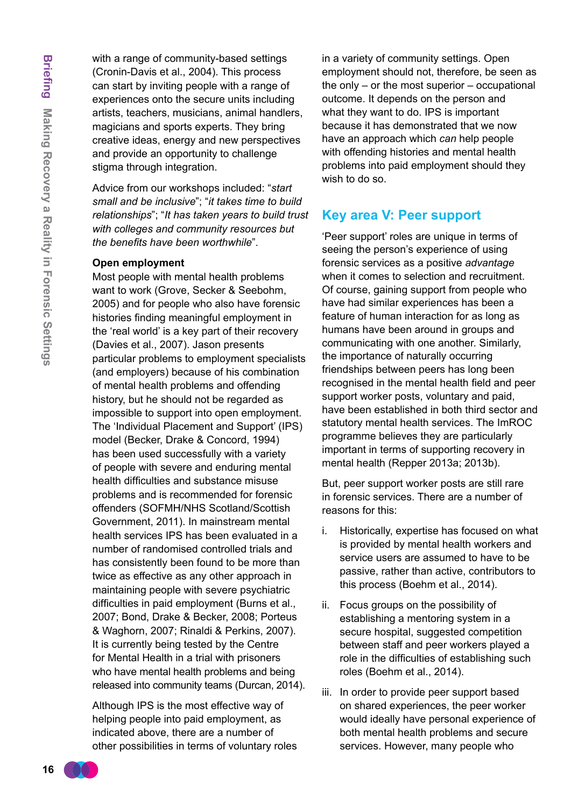with a range of community-based settings (Cronin-Davis et al., 2004). This process can start by inviting people with a range of experiences onto the secure units including artists, teachers, musicians, animal handlers, magicians and sports experts. They bring creative ideas, energy and new perspectives and provide an opportunity to challenge stigma through integration.

Advice from our workshops included: "*start small and be inclusive*"; "*it takes time to build relationships*"; "*It has taken years to build trust with colleges and community resources but the benefits have been worthwhile*".

#### **Open employment**

Most people with mental health problems want to work (Grove, Secker & Seebohm, 2005) and for people who also have forensic histories finding meaningful employment in the 'real world' is a key part of their recovery (Davies et al., 2007). Jason presents particular problems to employment specialists (and employers) because of his combination of mental health problems and offending history, but he should not be regarded as impossible to support into open employment. The 'Individual Placement and Support' (IPS) model (Becker, Drake & Concord, 1994) has been used successfully with a variety of people with severe and enduring mental health difficulties and substance misuse problems and is recommended for forensic offenders (SOFMH/NHS Scotland/Scottish Government, 2011). In mainstream mental health services IPS has been evaluated in a number of randomised controlled trials and has consistently been found to be more than twice as effective as any other approach in maintaining people with severe psychiatric difficulties in paid employment (Burns et al., 2007; Bond, Drake & Becker, 2008; Porteus & Waghorn, 2007; Rinaldi & Perkins, 2007). It is currently being tested by the Centre for Mental Health in a trial with prisoners who have mental health problems and being released into community teams (Durcan, 2014).

Although IPS is the most effective way of helping people into paid employment, as indicated above, there are a number of other possibilities in terms of voluntary roles in a variety of community settings. Open employment should not, therefore, be seen as the only – or the most superior – occupational outcome. It depends on the person and what they want to do. IPS is important because it has demonstrated that we now have an approach which *can* help people with offending histories and mental health problems into paid employment should they wish to do so.

## **Key area V: Peer support**

'Peer support' roles are unique in terms of seeing the person's experience of using forensic services as a positive *advantage* when it comes to selection and recruitment. Of course, gaining support from people who have had similar experiences has been a feature of human interaction for as long as humans have been around in groups and communicating with one another. Similarly, the importance of naturally occurring friendships between peers has long been recognised in the mental health field and peer support worker posts, voluntary and paid, have been established in both third sector and statutory mental health services. The ImROC programme believes they are particularly important in terms of supporting recovery in mental health (Repper 2013a; 2013b).

But, peer support worker posts are still rare in forensic services. There are a number of reasons for this:

- i. Historically, expertise has focused on what is provided by mental health workers and service users are assumed to have to be passive, rather than active, contributors to this process (Boehm et al., 2014).
- ii. Focus groups on the possibility of establishing a mentoring system in a secure hospital, suggested competition between staff and peer workers played a role in the difficulties of establishing such roles (Boehm et al., 2014).
- iii. In order to provide peer support based on shared experiences, the peer worker would ideally have personal experience of both mental health problems and secure services. However, many people who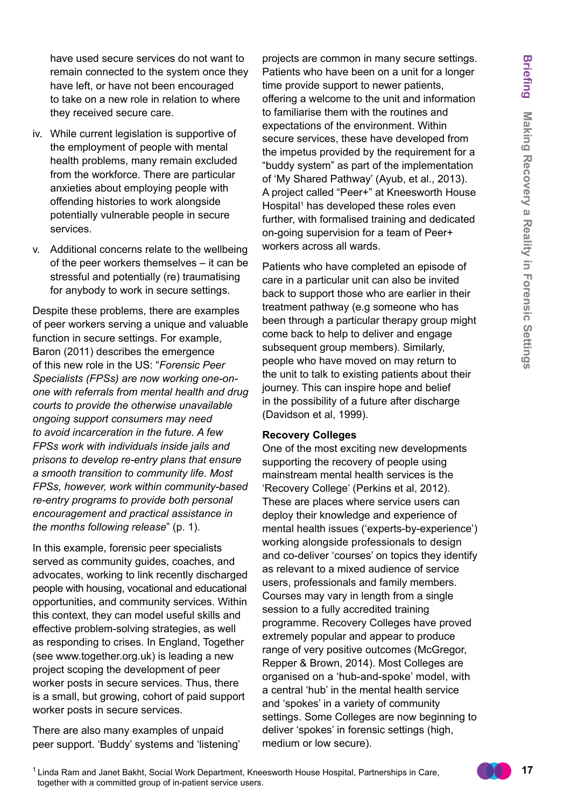have used secure services do not want to remain connected to the system once they have left, or have not been encouraged to take on a new role in relation to where they received secure care.

- iv. While current legislation is supportive of the employment of people with mental health problems, many remain excluded from the workforce. There are particular anxieties about employing people with offending histories to work alongside potentially vulnerable people in secure services.
- v. Additional concerns relate to the wellbeing of the peer workers themselves – it can be stressful and potentially (re) traumatising for anybody to work in secure settings.

Despite these problems, there are examples of peer workers serving a unique and valuable function in secure settings. For example, Baron (2011) describes the emergence of this new role in the US: "*Forensic Peer Specialists (FPSs) are now working one-onone with referrals from mental health and drug courts to provide the otherwise unavailable ongoing support consumers may need to avoid incarceration in the future. A few FPSs work with individuals inside jails and prisons to develop re-entry plans that ensure a smooth transition to community life. Most FPSs, however, work within community-based re-entry programs to provide both personal encouragement and practical assistance in the months following release*" (p. 1).

In this example, forensic peer specialists served as community guides, coaches, and advocates, working to link recently discharged people with housing, vocational and educational opportunities, and community services. Within this context, they can model useful skills and effective problem-solving strategies, as well as responding to crises. In England, Together (see [www.together.org.uk](http://www.together.org.uk)) is leading a new project scoping the development of peer worker posts in secure services. Thus, there is a small, but growing, cohort of paid support worker posts in secure services.

There are also many examples of unpaid peer support. 'Buddy' systems and 'listening' projects are common in many secure settings. Patients who have been on a unit for a longer time provide support to newer patients, offering a welcome to the unit and information to familiarise them with the routines and expectations of the environment. Within secure services, these have developed from the impetus provided by the requirement for a "buddy system" as part of the implementation of 'My Shared Pathway' (Ayub, et al., 2013). A project called "Peer+" at Kneesworth House Hospital<sup>1</sup> has developed these roles even further, with formalised training and dedicated on-going supervision for a team of Peer+ workers across all wards.

Patients who have completed an episode of care in a particular unit can also be invited back to support those who are earlier in their treatment pathway (e.g someone who has been through a particular therapy group might come back to help to deliver and engage subsequent group members). Similarly, people who have moved on may return to the unit to talk to existing patients about their journey. This can inspire hope and belief in the possibility of a future after discharge (Davidson et al, 1999).

#### **Recovery Colleges**

One of the most exciting new developments supporting the recovery of people using mainstream mental health services is the 'Recovery College' (Perkins et al, 2012). These are places where service users can deploy their knowledge and experience of mental health issues ('experts-by-experience') working alongside professionals to design and co-deliver 'courses' on topics they identify as relevant to a mixed audience of service users, professionals and family members. Courses may vary in length from a single session to a fully accredited training programme. Recovery Colleges have proved extremely popular and appear to produce range of very positive outcomes (McGregor, Repper & Brown, 2014). Most Colleges are organised on a 'hub-and-spoke' model, with a central 'hub' in the mental health service and 'spokes' in a variety of community settings. Some Colleges are now beginning to deliver 'spokes' in forensic settings (high, medium or low secure).

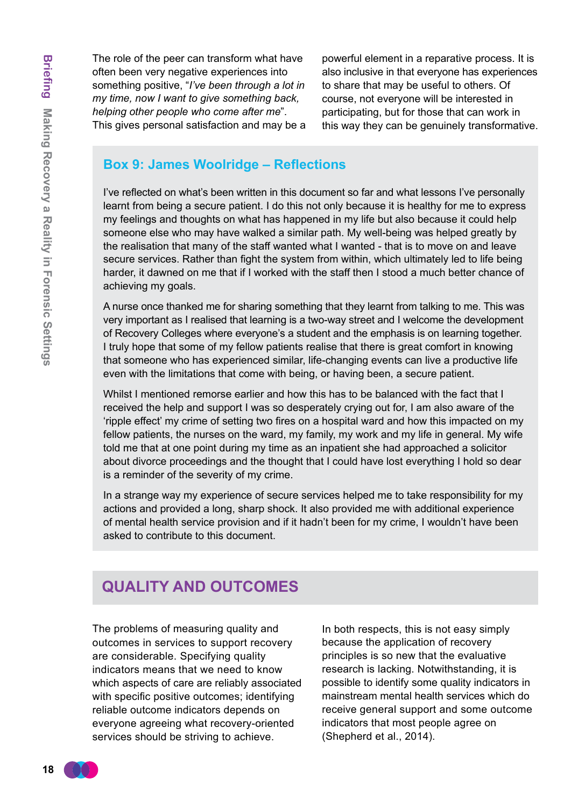The role of the peer can transform what have often been very negative experiences into something positive, "*I've been through a lot in my time, now I want to give something back, helping other people who come after me*". This gives personal satisfaction and may be a

powerful element in a reparative process. It is also inclusive in that everyone has experiences to share that may be useful to others. Of course, not everyone will be interested in participating, but for those that can work in this way they can be genuinely transformative.

## **Box 9: James Woolridge – Reflections**

I've reflected on what's been written in this document so far and what lessons I've personally learnt from being a secure patient. I do this not only because it is healthy for me to express my feelings and thoughts on what has happened in my life but also because it could help someone else who may have walked a similar path. My well-being was helped greatly by the realisation that many of the staff wanted what I wanted - that is to move on and leave secure services. Rather than fight the system from within, which ultimately led to life being harder, it dawned on me that if I worked with the staff then I stood a much better chance of achieving my goals.

A nurse once thanked me for sharing something that they learnt from talking to me. This was very important as I realised that learning is a two-way street and I welcome the development of Recovery Colleges where everyone's a student and the emphasis is on learning together. I truly hope that some of my fellow patients realise that there is great comfort in knowing that someone who has experienced similar, life-changing events can live a productive life even with the limitations that come with being, or having been, a secure patient.

Whilst I mentioned remorse earlier and how this has to be balanced with the fact that I received the help and support I was so desperately crying out for, I am also aware of the 'ripple effect' my crime of setting two fires on a hospital ward and how this impacted on my fellow patients, the nurses on the ward, my family, my work and my life in general. My wife told me that at one point during my time as an inpatient she had approached a solicitor about divorce proceedings and the thought that I could have lost everything I hold so dear is a reminder of the severity of my crime.

In a strange way my experience of secure services helped me to take responsibility for my actions and provided a long, sharp shock. It also provided me with additional experience of mental health service provision and if it hadn't been for my crime, I wouldn't have been asked to contribute to this document.

# **Quality and outcomes**

The problems of measuring quality and outcomes in services to support recovery are considerable. Specifying quality indicators means that we need to know which aspects of care are reliably associated with specific positive outcomes; identifying reliable outcome indicators depends on everyone agreeing what recovery-oriented services should be striving to achieve.

In both respects, this is not easy simply because the application of recovery principles is so new that the evaluative research is lacking. Notwithstanding, it is possible to identify some quality indicators in mainstream mental health services which do receive general support and some outcome indicators that most people agree on (Shepherd et al., 2014).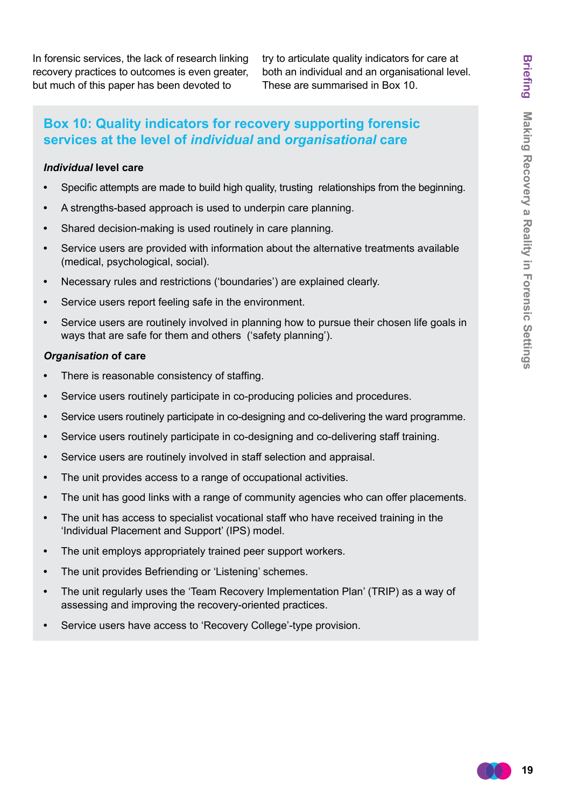In forensic services, the lack of research linking recovery practices to outcomes is even greater, but much of this paper has been devoted to

try to articulate quality indicators for care at both an individual and an organisational level. These are summarised in Box 10.

## **Box 10: Quality indicators for recovery supporting forensic services at the level of** *individual* **and** *organisational* **care**

#### *Individual* **level care**

- **•**  Specific attempts are made to build high quality, trusting relationships from the beginning.
- **•**  A strengths-based approach is used to underpin care planning.
- **•**  Shared decision-making is used routinely in care planning.
- **•**  Service users are provided with information about the alternative treatments available (medical, psychological, social).
- **•**  Necessary rules and restrictions ('boundaries') are explained clearly.
- Service users report feeling safe in the environment.
- **•**  Service users are routinely involved in planning how to pursue their chosen life goals in ways that are safe for them and others ('safety planning').

#### *Organisation* **of care**

- There is reasonable consistency of staffing.
- **•**  Service users routinely participate in co-producing policies and procedures.
- **•**  Service users routinely participate in co-designing and co-delivering the ward programme.
- **•**  Service users routinely participate in co-designing and co-delivering staff training.
- **•**  Service users are routinely involved in staff selection and appraisal.
- **•**  The unit provides access to a range of occupational activities.
- **•**  The unit has good links with a range of community agencies who can offer placements.
- The unit has access to specialist vocational staff who have received training in the 'Individual Placement and Support' (IPS) model.
- **•**  The unit employs appropriately trained peer support workers.
- **•**  The unit provides Befriending or 'Listening' schemes.
- The unit regularly uses the 'Team Recovery Implementation Plan' (TRIP) as a way of assessing and improving the recovery-oriented practices.
- Service users have access to 'Recovery College'-type provision.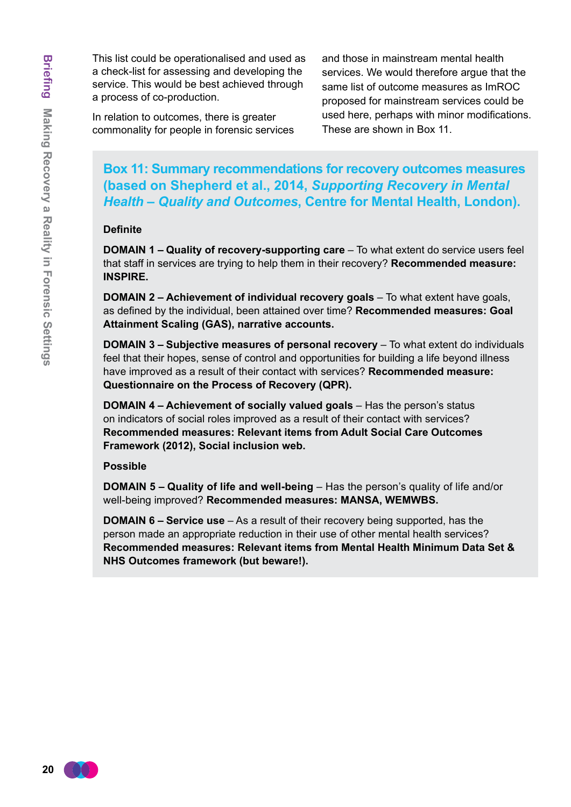This list could be operationalised and used as a check-list for assessing and developing the service. This would be best achieved through a process of co-production.

In relation to outcomes, there is greater commonality for people in forensic services and those in mainstream mental health services. We would therefore argue that the same list of outcome measures as ImROC proposed for mainstream services could be used here, perhaps with minor modifications. These are shown in Box 11.

**Box 11: Summary recommendations for recovery outcomes measures (based on Shepherd et al., 2014,** *Supporting Recovery in Mental Health – Quality and Outcomes***, Centre for Mental Health, London).**

#### **Definite**

**DOMAIN 1 – Quality of recovery-supporting care** – To what extent do service users feel that staff in services are trying to help them in their recovery? **Recommended measure: INSPIRE.**

**DOMAIN 2 – Achievement of individual recovery goals** – To what extent have goals, as defined by the individual, been attained over time? **Recommended measures: Goal Attainment Scaling (GAS), narrative accounts.** 

**DOMAIN 3 – Subjective measures of personal recovery** – To what extent do individuals feel that their hopes, sense of control and opportunities for building a life beyond illness have improved as a result of their contact with services? **Recommended measure: Questionnaire on the Process of Recovery (QPR).** 

**DOMAIN 4 – Achievement of socially valued goals** – Has the person's status on indicators of social roles improved as a result of their contact with services? **Recommended measures: Relevant items from Adult Social Care Outcomes Framework (2012), Social inclusion web.** 

#### **Possible**

**DOMAIN 5 – Quality of life and well-being** – Has the person's quality of life and/or well-being improved? **Recommended measures: MANSA, WEMWBS.** 

**DOMAIN 6 – Service use** – As a result of their recovery being supported, has the person made an appropriate reduction in their use of other mental health services? **Recommended measures: Relevant items from Mental Health Minimum Data Set & NHS Outcomes framework (but beware!).**

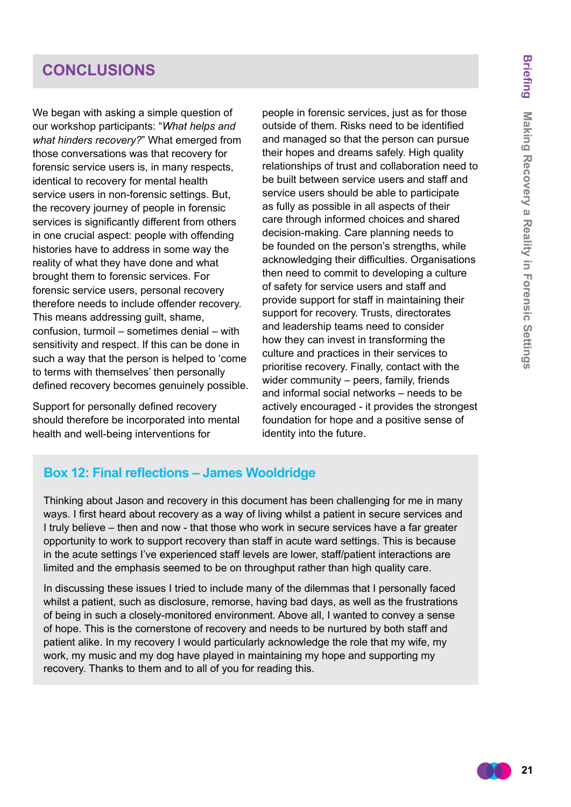# **conclusions**

We began with asking a simple question of our workshop participants: "*What helps and what hinders recovery?*" What emerged from those conversations was that recovery for forensic service users is, in many respects, identical to recovery for mental health service users in non-forensic settings. But, the recovery journey of people in forensic services is significantly different from others in one crucial aspect: people with offending histories have to address in some way the reality of what they have done and what brought them to forensic services. For forensic service users, personal recovery therefore needs to include offender recovery. This means addressing guilt, shame, confusion, turmoil – sometimes denial – with sensitivity and respect. If this can be done in such a way that the person is helped to 'come to terms with themselves' then personally defined recovery becomes genuinely possible.

Support for personally defined recovery should therefore be incorporated into mental health and well-being interventions for

people in forensic services, just as for those outside of them. Risks need to be identified and managed so that the person can pursue their hopes and dreams safely. High quality relationships of trust and collaboration need to be built between service users and staff and service users should be able to participate as fully as possible in all aspects of their care through informed choices and shared decision-making. Care planning needs to be founded on the person's strengths, while acknowledging their difficulties. Organisations then need to commit to developing a culture of safety for service users and staff and provide support for staff in maintaining their support for recovery. Trusts, directorates and leadership teams need to consider how they can invest in transforming the culture and practices in their services to prioritise recovery. Finally, contact with the wider community – peers, family, friends and informal social networks – needs to be actively encouraged - it provides the strongest foundation for hope and a positive sense of identity into the future.

## **Box 12: Final reflections – James Wooldridge**

Thinking about Jason and recovery in this document has been challenging for me in many ways. I first heard about recovery as a way of living whilst a patient in secure services and I truly believe – then and now - that those who work in secure services have a far greater opportunity to work to support recovery than staff in acute ward settings. This is because in the acute settings I've experienced staff levels are lower, staff/patient interactions are limited and the emphasis seemed to be on throughput rather than high quality care.

In discussing these issues I tried to include many of the dilemmas that I personally faced whilst a patient, such as disclosure, remorse, having bad days, as well as the frustrations of being in such a closely-monitored environment. Above all, I wanted to convey a sense of hope. This is the cornerstone of recovery and needs to be nurtured by both staff and patient alike. In my recovery I would particularly acknowledge the role that my wife, my work, my music and my dog have played in maintaining my hope and supporting my recovery. Thanks to them and to all of you for reading this.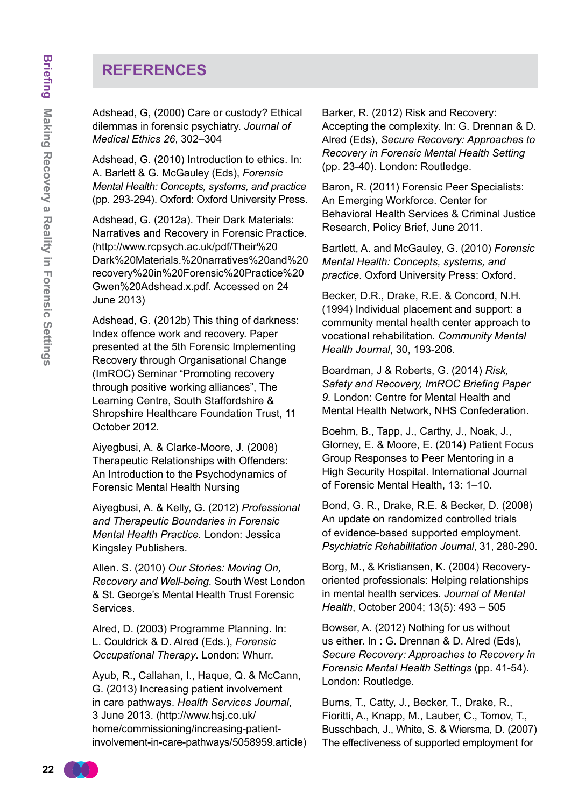# **references**

Adshead, G, (2000) Care or custody? Ethical dilemmas in forensic psychiatry. *Journal of Medical Ethics 26*, 302–304

Adshead, G. (2010) Introduction to ethics. In: A. Barlett & G. McGauley (Eds), *Forensic Mental Health: Concepts, systems, and practice* (pp. 293-294). Oxford: Oxford University Press.

Adshead, G. (2012a). Their Dark Materials: Narratives and Recovery in Forensic Practice. [\(http://www.rcpsych.ac.uk/pdf/Their%20](http://www.rcpsych.ac.uk/pdf/Their%20Dark%20Materials.%20narratives%20and%20recovery%20in%20Forensic%20Practice%20Gwen%20Adshead.x.pdf) [Dark%20Materials.%20narratives%20and%20](http://www.rcpsych.ac.uk/pdf/Their%20Dark%20Materials.%20narratives%20and%20recovery%20in%20Forensic%20Practice%20Gwen%20Adshead.x.pdf) [recovery%20in%20Forensic%20Practice%20](http://www.rcpsych.ac.uk/pdf/Their%20Dark%20Materials.%20narratives%20and%20recovery%20in%20Forensic%20Practice%20Gwen%20Adshead.x.pdf) [Gwen%20Adshead.x.pdf](http://www.rcpsych.ac.uk/pdf/Their%20Dark%20Materials.%20narratives%20and%20recovery%20in%20Forensic%20Practice%20Gwen%20Adshead.x.pdf). Accessed on 24 June 2013)

Adshead, G. (2012b) This thing of darkness: Index offence work and recovery. Paper presented at the 5th Forensic Implementing Recovery through Organisational Change (ImROC) Seminar "Promoting recovery through positive working alliances", The Learning Centre, South Staffordshire & Shropshire Healthcare Foundation Trust, 11 October 2012.

Aiyegbusi, A. & Clarke-Moore, J. (2008) Therapeutic Relationships with Offenders: An Introduction to the Psychodynamics of Forensic Mental Health Nursing

Aiyegbusi, A. & Kelly, G. (2012) *Professional and Therapeutic Boundaries in Forensic Mental Health Practice.* London: Jessica Kingsley Publishers.

Allen. S. (2010) *Our Stories: Moving On, Recovery and Well-being*. South West London & St. George's Mental Health Trust Forensic Services.

Alred, D. (2003) Programme Planning. In: L. Couldrick & D. Alred (Eds.), *Forensic Occupational Therapy*. London: Whurr.

Ayub, R., Callahan, I., Haque, Q. & McCann, G. (2013) Increasing patient involvement in care pathways. *Health Services Journal*, 3 June 2013. ([http://www.hsj.co.uk/](http://www.hsj.co.uk/home/commissioning/increasing-patient-involvement-in-care-pathways/5058959.article) [home/commissioning/increasing-patient](http://www.hsj.co.uk/home/commissioning/increasing-patient-involvement-in-care-pathways/5058959.article)[involvement-in-care-pathways/5058959.articl](http://www.hsj.co.uk/home/commissioning/increasing-patient-involvement-in-care-pathways/5058959.article)e)

Barker, R. (2012) Risk and Recovery: Accepting the complexity. In: G. Drennan & D. Alred (Eds), *Secure Recovery: Approaches to Recovery in Forensic Mental Health Setting*  (pp. 23-40). London: Routledge.

Baron, R. (2011) Forensic Peer Specialists: An Emerging Workforce. Center for Behavioral Health Services & Criminal Justice Research, Policy Brief, June 2011.

Bartlett, A. and McGauley, G. (2010) *Forensic Mental Health: Concepts, systems, and practice*. Oxford University Press: Oxford.

Becker, D.R., Drake, R.E. & Concord, N.H. (1994) Individual placement and support: a community mental health center approach to vocational rehabilitation. *Community Mental Health Journal*, 30, 193-206.

Boardman, J & Roberts, G. (2014) *Risk, Safety and Recovery, ImROC Briefing Paper 9.* London: Centre for Mental Health and Mental Health Network, NHS Confederation.

Boehm, B., Tapp, J., Carthy, J., Noak, J., Glorney, E. & Moore, E. (2014) Patient Focus Group Responses to Peer Mentoring in a High Security Hospital. International Journal of Forensic Mental Health, 13: 1–10.

Bond, G. R., Drake, R.E. & Becker, D. (2008) An update on randomized controlled trials of evidence-based supported employment. *Psychiatric Rehabilitation Journal*, 31, 280-290.

Borg, M., & Kristiansen, K. (2004) Recoveryoriented professionals: Helping relationships in mental health services. *Journal of Mental Health*, October 2004; 13(5): 493 – 505

Bowser, A. (2012) Nothing for us without us either. In : G. Drennan & D. Alred (Eds), *Secure Recovery: Approaches to Recovery in Forensic Mental Health Settings* (pp. 41-54). London: Routledge.

Burns, T., Catty, J., Becker, T., Drake, R., Fioritti, A., Knapp, M., Lauber, C., Tomov, T., Busschbach, J., White, S. & Wiersma, D. (2007) The effectiveness of supported employment for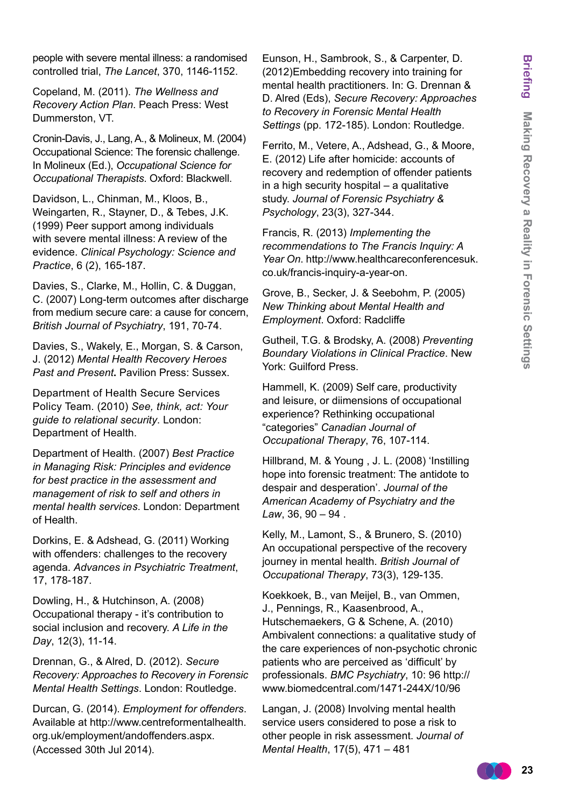people with severe mental illness: a randomised controlled trial, *The Lancet*, 370, 1146-1152.

Copeland, M. (2011). *The Wellness and Recovery Action Plan*. Peach Press: West Dummerston, VT.

Cronin-Davis, J., Lang, A., & Molineux, M. (2004) Occupational Science: The forensic challenge. In Molineux (Ed.), *Occupational Science for Occupational Therapists*. Oxford: Blackwell.

Davidson, L., Chinman, M., Kloos, B., Weingarten, R., Stayner, D., & Tebes, J.K. (1999) Peer support among individuals with severe mental illness: A review of the evidence. *Clinical Psychology: Science and Practice*, 6 (2), 165-187.

Davies, S., Clarke, M., Hollin, C. & Duggan, C. (2007) Long-term outcomes after discharge from medium secure care: a cause for concern, *British Journal of Psychiatry*, 191, 70-74.

Davies, S., Wakely, E., Morgan, S. & Carson, J. (2012) *Mental Health Recovery Heroes Past and Present***.** Pavilion Press: Sussex.

Department of Health Secure Services Policy Team. (2010) *See, think, act: Your guide to relational security*. London: Department of Health.

Department of Health. (2007) *Best Practice in Managing Risk: Principles and evidence for best practice in the assessment and management of risk to self and others in mental health services*. London: Department of Health.

Dorkins, E. & Adshead, G. (2011) Working with offenders: challenges to the recovery agenda. *Advances in Psychiatric Treatment*, 17, 178-187.

Dowling, H., & Hutchinson, A. (2008) Occupational therapy - it's contribution to social inclusion and recovery. *A Life in the Day*, 12(3), 11-14.

Drennan, G., & Alred, D. (2012). *Secure Recovery: Approaches to Recovery in Forensic Mental Health Settings*. London: Routledge.

Durcan, G. (2014). *Employment for offenders*. Available at [http://www.centreformentalhealth.](http://www.centreformentalhealth.org.uk/employment/andoffenders.aspx) [org.uk/employment/andoffenders.aspx.](http://www.centreformentalhealth.org.uk/employment/andoffenders.aspx) (Accessed 30th Jul 2014).

Eunson, H., Sambrook, S., & Carpenter, D. (2012)Embedding recovery into training for mental health practitioners. In: G. Drennan & D. Alred (Eds), *Secure Recovery: Approaches to Recovery in Forensic Mental Health Settings* (pp. 172-185). London: Routledge.

Ferrito, M., Vetere, A., Adshead, G., & Moore, E. (2012) Life after homicide: accounts of recovery and redemption of offender patients in a high security hospital – a qualitative study. *Journal of Forensic Psychiatry & Psychology*, 23(3), 327-344.

Francis, R. (2013) *Implementing the recommendations to The Francis Inquiry: A Year On*[. http://www.healthcareconferencesuk.](http://www.healthcareconferencesuk.co.uk/francis-inquiry-a-year-on) co.uk/francis-inquiry-a-year-on.

Grove, B., Secker, J. & Seebohm, P. (2005) *New Thinking about Mental Health and Employment*. Oxford: Radcliffe

Gutheil, T.G. & Brodsky, A. (2008) *Preventing Boundary Violations in Clinical Practice*. New York: Guilford Press.

Hammell, K. (2009) Self care, productivity and leisure, or diimensions of occupational experience? Rethinking occupational "categories" *Canadian Journal of Occupational Therapy*, 76, 107-114.

Hillbrand, M. & Young , J. L. (2008) 'Instilling hope into forensic treatment: The antidote to despair and desperation'. *Journal of the American Academy of Psychiatry and the Law*, 36, 90 – 94 .

Kelly, M., Lamont, S., & Brunero, S. (2010) An occupational perspective of the recovery journey in mental health. *British Journal of Occupational Therapy*, 73(3), 129-135.

Koekkoek, B., van Meijel, B., van Ommen, J., Pennings, R., Kaasenbrood, A., Hutschemaekers, G & Schene, A. (2010) Ambivalent connections: a qualitative study of the care experiences of non-psychotic chronic patients who are perceived as 'difficult' by professionals. *BMC Psychiatry*, 10: 96 [http://](http://www.biomedcentral.co,/1471-244X/10/96) [www.biomedcentral.com/1471-244X/10/9](http://www.biomedcentral.co,/1471-244X/10/96)[6](www.biomedcentral.com/1471-244X/1096)

Langan, J. (2008) Involving mental health service users considered to pose a risk to other people in risk assessment. *Journal of Mental Health*, 17(5), 471 – 481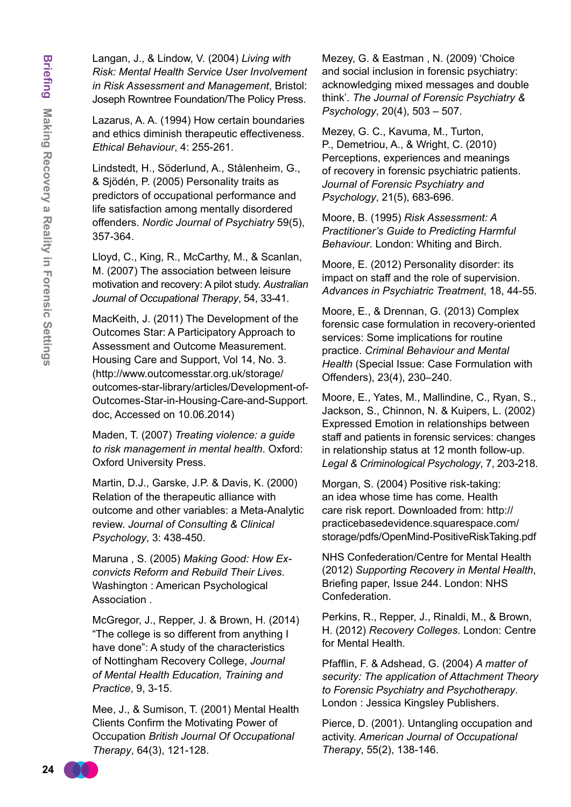Langan, J., & Lindow, V. (2004) *Living with Risk: Mental Health Service User Involvement in Risk Assessment and Management*, Bristol: Joseph Rowntree Foundation/The Policy Press.

Lazarus, A. A. (1994) How certain boundaries and ethics diminish therapeutic effectiveness. *Ethical Behaviour*, 4: 255-261.

Lindstedt, H., Söderlund, A., Stålenheim, G., & Sjödén, P. (2005) Personality traits as predictors of occupational performance and life satisfaction among mentally disordered offenders. *Nordic Journal of Psychiatry* 59(5), 357-364.

Lloyd, C., King, R., McCarthy, M., & Scanlan, M. (2007) The association between leisure motivation and recovery: A pilot study. *Australian Journal of Occupational Therapy*, 54, 33-41.

MacKeith, J. (2011) The Development of the Outcomes Star: A Participatory Approach to Assessment and Outcome Measurement. Housing Care and Support, Vol 14, No. 3. [\(http://www.outcomesstar.org.uk/storage/](http://www.outcomesstar.org.uk/storage/outcomes-star-library/articles/Development-of-Outcomes-Star-in-Housing-Care-and-Support.doc) [outcomes-star-library/articles/Development-of-](http://www.outcomesstar.org.uk/storage/outcomes-star-library/articles/Development-of-Outcomes-Star-in-Housing-Care-and-Support.doc)[Outcomes-Star-in-Housing-Care-and-Support.](http://www.outcomesstar.org.uk/storage/outcomes-star-library/articles/Development-of-Outcomes-Star-in-Housing-Care-and-Support.doc) [doc](http://www.outcomesstar.org.uk/storage/outcomes-star-library/articles/Development-of-Outcomes-Star-in-Housing-Care-and-Support.doc), Accessed on 10.06.2014)

Maden, T. (2007) *Treating violence: a guide to risk management in mental health*. Oxford: Oxford University Press.

Martin, D.J., Garske, J.P. & Davis, K. (2000) Relation of the therapeutic alliance with outcome and other variables: a Meta-Analytic review. *Journal of Consulting & Clinical Psychology*, 3: 438-450.

Maruna , S. (2005) *Making Good: How Exconvicts Reform and Rebuild Their Lives*. Washington : American Psychological Association .

McGregor, J., Repper, J. & Brown, H. (2014) "The college is so different from anything I have done": A study of the characteristics of Nottingham Recovery College, *Journal of Mental Health Education, Training and Practice*, 9, 3-15.

Mee, J., & Sumison, T. (2001) Mental Health Clients Confirm the Motivating Power of Occupation *British Journal Of Occupational Therapy*, 64(3), 121-128.

Mezey, G. & Eastman , N. (2009) 'Choice and social inclusion in forensic psychiatry: acknowledging mixed messages and double think'. *The Journal of Forensic Psychiatry & Psychology*, 20(4), 503 – 507.

Mezey, G. C., Kavuma, M., Turton, P., Demetriou, A., & Wright, C. (2010) Perceptions, experiences and meanings of recovery in forensic psychiatric patients. *Journal of Forensic Psychiatry and Psychology*, 21(5), 683-696.

Moore, B. (1995) *Risk Assessment: A Practitioner's Guide to Predicting Harmful Behaviour*. London: Whiting and Birch.

Moore, E. (2012) Personality disorder: its impact on staff and the role of supervision. *Advances in Psychiatric Treatment*, 18, 44-55.

Moore, E., & Drennan, G. (2013) Complex forensic case formulation in recovery-oriented services: Some implications for routine practice. *Criminal Behaviour and Mental Health* (Special Issue: Case Formulation with Offenders), 23(4), 230–240.

Moore, E., Yates, M., Mallindine, C., Ryan, S., Jackson, S., Chinnon, N. & Kuipers, L. (2002) Expressed Emotion in relationships between staff and patients in forensic services: changes in relationship status at 12 month follow-up. *Legal & Criminological Psychology*, 7, 203-218.

Morgan, S. (2004) Positive risk-taking: an idea whose time has come. Health care risk report. Downloaded from: [http://](http://practicebasedevidence.squarespace.com/storage/pdfs/OpenMind-PositiveRiskTaking.pdf) [practicebasedevidence.squarespace.com/](http://practicebasedevidence.squarespace.com/storage/pdfs/OpenMind-PositiveRiskTaking.pdf) [storage/pdfs/OpenMind-PositiveRiskTaking.pdf](http://practicebasedevidence.squarespace.com/storage/pdfs/OpenMind-PositiveRiskTaking.pdf)

NHS Confederation/Centre for Mental Health (2012) *Supporting Recovery in Mental Health*, Briefing paper, Issue 244. London: NHS Confederation.

Perkins, R., Repper, J., Rinaldi, M., & Brown, H. (2012) *Recovery Colleges*. London: Centre for Mental Health.

Pfafflin, F. & Adshead, G. (2004) *A matter of security: The application of Attachment Theory to Forensic Psychiatry and Psychotherapy*. London : Jessica Kingsley Publishers.

Pierce, D. (2001). Untangling occupation and activity. *American Journal of Occupational Therapy*, 55(2), 138-146.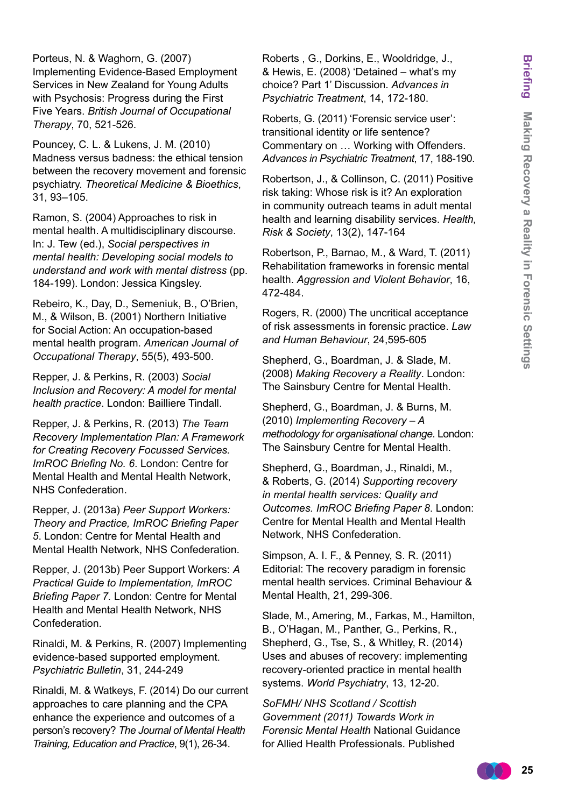Porteus, N. & Waghorn, G. (2007) Implementing Evidence-Based Employment Services in New Zealand for Young Adults with Psychosis: Progress during the First Five Years. *British Journal of Occupational Therapy*, 70, 521-526.

Pouncey, C. L. & Lukens, J. M. (2010) Madness versus badness: the ethical tension between the recovery movement and forensic psychiatry. *Theoretical Medicine & Bioethics*, 31, 93–105.

Ramon, S. (2004) Approaches to risk in mental health. A multidisciplinary discourse. In: J. Tew (ed.), *Social perspectives in mental health: Developing social models to understand and work with mental distress* (pp. 184-199). London: Jessica Kingsley.

Rebeiro, K., Day, D., Semeniuk, B., O'Brien, M., & Wilson, B. (2001) Northern Initiative for Social Action: An occupation-based mental health program. *American Journal of Occupational Therapy*, 55(5), 493-500.

Repper, J. & Perkins, R. (2003) *Social Inclusion and Recovery: A model for mental health practice*. London: Bailliere Tindall.

Repper, J. & Perkins, R. (2013) *The Team Recovery Implementation Plan: A Framework for Creating Recovery Focussed Services. ImROC Briefing No. 6*. London: Centre for Mental Health and Mental Health Network, NHS Confederation.

Repper, J. (2013a) *Peer Support Workers: Theory and Practice, ImROC Briefing Paper 5*. London: Centre for Mental Health and Mental Health Network, NHS Confederation.

Repper, J. (2013b) Peer Support Workers: *A Practical Guide to Implementation, ImROC Briefing Paper 7.* London: Centre for Mental Health and Mental Health Network, NHS Confederation.

Rinaldi, M. & Perkins, R. (2007) Implementing evidence-based supported employment. *Psychiatric Bulletin*, 31, 244-249

Rinaldi, M. & Watkeys, F. (2014) Do our current approaches to care planning and the CPA enhance the experience and outcomes of a person's recovery? *The Journal of Mental Health Training, Education and Practice*, 9(1), 26-34.

Roberts , G., Dorkins, E., Wooldridge, J., & Hewis, E. (2008) 'Detained – what's my choice? Part 1' Discussion. *Advances in Psychiatric Treatment*, 14, 172-180.

Roberts, G. (2011) 'Forensic service user': transitional identity or life sentence? Commentary on … Working with Offenders. *Advances in Psychiatric Treatment*, 17, 188-190.

Robertson, J., & Collinson, C. (2011) Positive risk taking: Whose risk is it? An exploration in community outreach teams in adult mental health and learning disability services. *Health, Risk & Society*, 13(2), 147-164

Robertson, P., Barnao, M., & Ward, T. (2011) Rehabilitation frameworks in forensic mental health. *Aggression and Violent Behavior*, 16, 472-484.

Rogers, R. (2000) The uncritical acceptance of risk assessments in forensic practice. *Law and Human Behaviour*, 24,595-605

Shepherd, G., Boardman, J. & Slade, M. (2008) *Making Recovery a Reality*. London: The Sainsbury Centre for Mental Health.

Shepherd, G., Boardman, J. & Burns, M. (2010) *Implementing Recovery – A methodology for organisational change*. London: The Sainsbury Centre for Mental Health.

Shepherd, G., Boardman, J., Rinaldi, M., & Roberts, G. (2014) *Supporting recovery in mental health services: Quality and Outcomes. ImROC Briefing Paper 8*. London: Centre for Mental Health and Mental Health Network, NHS Confederation.

Simpson, A. I. F., & Penney, S. R. (2011) Editorial: The recovery paradigm in forensic mental health services. Criminal Behaviour & Mental Health, 21, 299-306.

Slade, M., Amering, M., Farkas, M., Hamilton, B., O'Hagan, M., Panther, G., Perkins, R., Shepherd, G., Tse, S., & Whitley, R. (2014) Uses and abuses of recovery: implementing recovery-oriented practice in mental health systems. *World Psychiatry*, 13, 12-20.

*SoFMH/ NHS Scotland / Scottish Government (2011) Towards Work in Forensic Mental Health* National Guidance for Allied Health Professionals. Published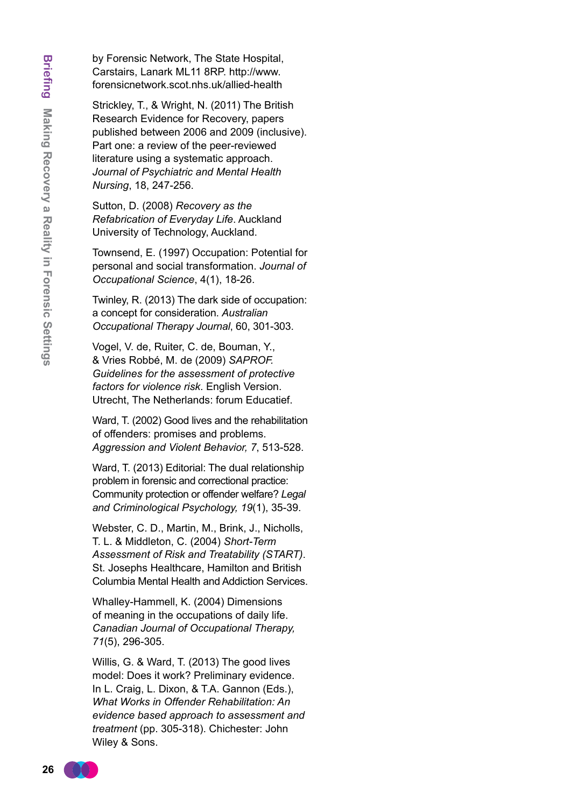by Forensic Network, The State Hospital, Carstairs, Lanark ML11 8RP. [http://www.](http://www.forensicnetwork.scot.nhs.uk/allied-health) [forensicnetwork.scot.nhs.uk/allied-health](http://www.forensicnetwork.scot.nhs.uk/allied-health)

Strickley, T., & Wright, N. (2011) The British Research Evidence for Recovery, papers published between 2006 and 2009 (inclusive). Part one: a review of the peer-reviewed literature using a systematic approach. *Journal of Psychiatric and Mental Health Nursing*, 18, 247-256.

Sutton, D. (2008) *Recovery as the Refabrication of Everyday Life*. Auckland University of Technology, Auckland.

Townsend, E. (1997) Occupation: Potential for personal and social transformation. *Journal of Occupational Science*, 4(1), 18-26.

Twinley, R. (2013) The dark side of occupation: a concept for consideration. *Australian Occupational Therapy Journal*, 60, 301-303.

Vogel, V. de, Ruiter, C. de, Bouman, Y., & Vries Robbé, M. de (2009) *SAPROF. Guidelines for the assessment of protective factors for violence risk*. English Version. Utrecht, The Netherlands: forum Educatief.

Ward, T. (2002) Good lives and the rehabilitation of offenders: promises and problems. *Aggression and Violent Behavior, 7*, 513-528.

Ward, T. (2013) Editorial: The dual relationship problem in forensic and correctional practice: Community protection or offender welfare? *Legal and Criminological Psychology, 19*(1), 35-39.

Webster, C. D., Martin, M., Brink, J., Nicholls, T. L. & Middleton, C. (2004) *Short-Term Assessment of Risk and Treatability (START)*. St. Josephs Healthcare, Hamilton and British Columbia Mental Health and Addiction Services.

Whalley-Hammell, K. (2004) Dimensions of meaning in the occupations of daily life. *Canadian Journal of Occupational Therapy, 71*(5), 296-305.

Willis, G. & Ward, T. (2013) The good lives model: Does it work? Preliminary evidence. In L. Craig, L. Dixon, & T.A. Gannon (Eds.), *What Works in Offender Rehabilitation: An evidence based approach to assessment and treatment* (pp. 305-318). Chichester: John Wiley & Sons.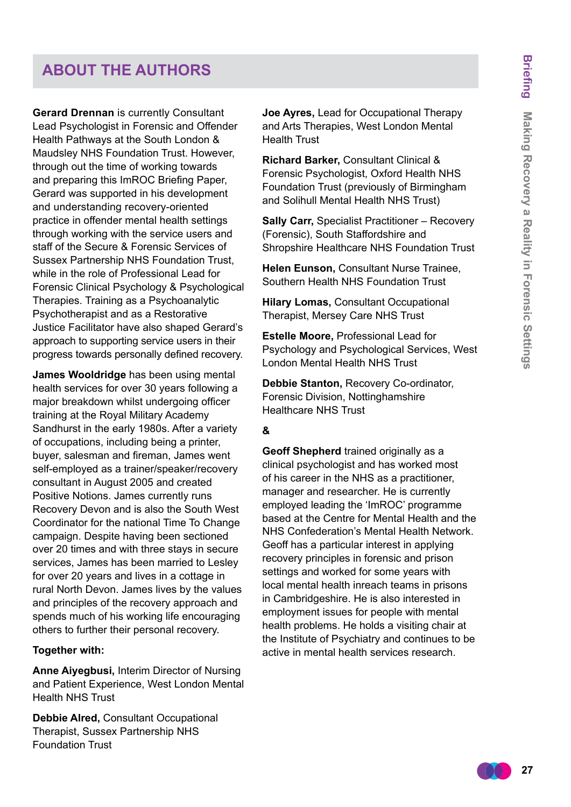# **about the authors**

**Gerard Drennan** is currently Consultant Lead Psychologist in Forensic and Offender Health Pathways at the South London & Maudsley NHS Foundation Trust. However, through out the time of working towards and preparing this ImROC Briefing Paper, Gerard was supported in his development and understanding recovery-oriented practice in offender mental health settings through working with the service users and staff of the Secure & Forensic Services of Sussex Partnership NHS Foundation Trust, while in the role of Professional Lead for Forensic Clinical Psychology & Psychological Therapies. Training as a Psychoanalytic Psychotherapist and as a Restorative Justice Facilitator have also shaped Gerard's approach to supporting service users in their progress towards personally defined recovery.

**James Wooldridge** has been using mental health services for over 30 years following a major breakdown whilst undergoing officer training at the Royal Military Academy Sandhurst in the early 1980s. After a variety of occupations, including being a printer, buyer, salesman and fireman, James went self-employed as a trainer/speaker/recovery consultant in August 2005 and created Positive Notions. James currently runs Recovery Devon and is also the South West Coordinator for the national Time To Change campaign. Despite having been sectioned over 20 times and with three stays in secure services, James has been married to Lesley for over 20 years and lives in a cottage in rural North Devon. James lives by the values and principles of the recovery approach and spends much of his working life encouraging others to further their personal recovery.

#### **Together with:**

**Anne Aiyegbusi,** Interim Director of Nursing and Patient Experience, West London Mental Health NHS Trust

**Debbie Alred,** Consultant Occupational Therapist, Sussex Partnership NHS Foundation Trust

**Joe Ayres,** Lead for Occupational Therapy and Arts Therapies, West London Mental Health Trust

**Richard Barker,** Consultant Clinical & Forensic Psychologist, Oxford Health NHS Foundation Trust (previously of Birmingham and Solihull Mental Health NHS Trust)

**Sally Carr,** Specialist Practitioner – Recovery (Forensic), South Staffordshire and Shropshire Healthcare NHS Foundation Trust

**Helen Eunson,** Consultant Nurse Trainee, Southern Health NHS Foundation Trust

**Hilary Lomas,** Consultant Occupational Therapist, Mersey Care NHS Trust

**Estelle Moore,** Professional Lead for Psychology and Psychological Services, West London Mental Health NHS Trust

**Debbie Stanton,** Recovery Co-ordinator, Forensic Division, Nottinghamshire Healthcare NHS Trust

#### **&**

**Geoff Shepherd** trained originally as a clinical psychologist and has worked most of his career in the NHS as a practitioner, manager and researcher. He is currently employed leading the 'ImROC' programme based at the Centre for Mental Health and the NHS Confederation's Mental Health Network. Geoff has a particular interest in applying recovery principles in forensic and prison settings and worked for some years with local mental health inreach teams in prisons in Cambridgeshire. He is also interested in employment issues for people with mental health problems. He holds a visiting chair at the Institute of Psychiatry and continues to be active in mental health services research.